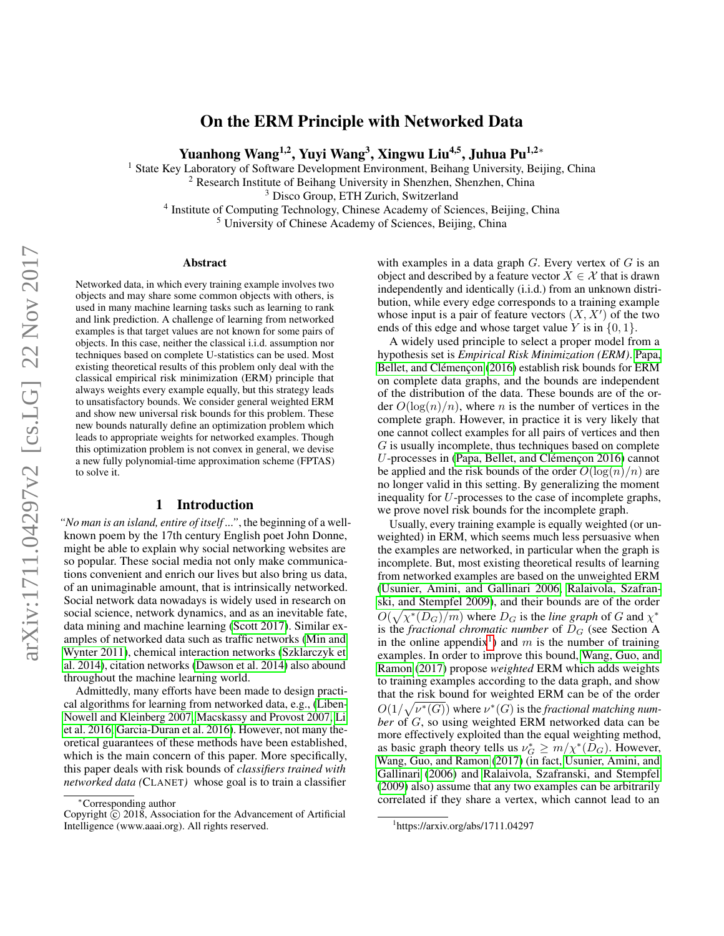### On the ERM Principle with Networked Data

Yuanhong Wang<sup>1,2</sup>, Yuyi Wang<sup>3</sup>, Xingwu Liu<sup>4,5</sup>, Juhua Pu<sup>1,2</sup>\*

<sup>1</sup> State Key Laboratory of Software Development Environment, Beihang University, Beijing, China

<sup>2</sup> Research Institute of Beihang University in Shenzhen, Shenzhen, China

<sup>3</sup> Disco Group, ETH Zurich, Switzerland

<sup>4</sup> Institute of Computing Technology, Chinese Academy of Sciences, Beijing, China

<sup>5</sup> University of Chinese Academy of Sciences, Beijing, China

#### Abstract

Networked data, in which every training example involves two objects and may share some common objects with others, is used in many machine learning tasks such as learning to rank and link prediction. A challenge of learning from networked examples is that target values are not known for some pairs of objects. In this case, neither the classical i.i.d. assumption nor techniques based on complete U-statistics can be used. Most existing theoretical results of this problem only deal with the classical empirical risk minimization (ERM) principle that always weights every example equally, but this strategy leads to unsatisfactory bounds. We consider general weighted ERM and show new universal risk bounds for this problem. These new bounds naturally define an optimization problem which leads to appropriate weights for networked examples. Though this optimization problem is not convex in general, we devise a new fully polynomial-time approximation scheme (FPTAS) to solve it.

#### 1 Introduction

*"No man is an island, entire of itself ..."*, the beginning of a wellknown poem by the 17th century English poet John Donne, might be able to explain why social networking websites are so popular. These social media not only make communications convenient and enrich our lives but also bring us data, of an unimaginable amount, that is intrinsically networked. Social network data nowadays is widely used in research on social science, network dynamics, and as an inevitable fate, data mining and machine learning [\(Scott 2017\)](#page-7-0). Similar examples of networked data such as traffic networks [\(Min and](#page-7-1) [Wynter 2011\)](#page-7-1), chemical interaction networks [\(Szklarczyk et](#page-7-2) al. [2014\)](#page-7-2), citation networks [\(Dawson et al.](#page-7-3) 2014) also abound throughout the machine learning world.

Admittedly, many efforts have been made to design practical algorithms for learning from networked data, e.g., [\(Liben-](#page-7-4)[Nowell and Kleinberg 2007,](#page-7-4) [Macskassy and Provost 2007,](#page-7-5) [Li](#page-7-6) et al. [2016,](#page-7-6) [Garcia-Duran et al.](#page-7-7) 2016). However, not many theoretical guarantees of these methods have been established, which is the main concern of this paper. More specifically, this paper deals with risk bounds of *classifiers trained with networked data (*CLANET*)* whose goal is to train a classifier

with examples in a data graph  $G$ . Every vertex of  $G$  is an object and described by a feature vector  $X \in \mathcal{X}$  that is drawn independently and identically (i.i.d.) from an unknown distribution, while every edge corresponds to a training example whose input is a pair of feature vectors  $(X, X')$  of the two ends of this edge and whose target value  $Y$  is in  $\{0, 1\}$ .

A widely used principle to select a proper model from a hypothesis set is *Empirical Risk Minimization (ERM)*. [Papa,](#page-7-8) Bellet, and Clémen con [\(2016\)](#page-7-8) establish risk bounds for ERM on complete data graphs, and the bounds are independent of the distribution of the data. These bounds are of the order  $O(\log(n)/n)$ , where *n* is the number of vertices in the complete graph. However, in practice it is very likely that one cannot collect examples for all pairs of vertices and then G is usually incomplete, thus techniques based on complete  $U$ -processes in (Papa, Bellet, and Clémen con 2016) cannot be applied and the risk bounds of the order  $O(\log(n)/n)$  are no longer valid in this setting. By generalizing the moment inequality for U-processes to the case of incomplete graphs, we prove novel risk bounds for the incomplete graph.

Usually, every training example is equally weighted (or unweighted) in ERM, which seems much less persuasive when the examples are networked, in particular when the graph is incomplete. But, most existing theoretical results of learning from networked examples are based on the unweighted ERM [\(Usunier, Amini, and Gallinari 2006,](#page-8-0) [Ralaivola, Szafran](#page-7-9)[ski, and Stempfel 2009\)](#page-7-9), and their bounds are of the order  $O(\sqrt{\chi^*(D_G)/m})$  where  $D_G$  is the *line graph* of G and  $\chi^*$ is the *fractional chromatic number* of  $D_G$  (see Section A in the online appendix<sup>[1](#page-0-0)</sup>) and m is the number of training examples. In order to improve this bound, [Wang, Guo, and](#page-8-1) [Ramon](#page-8-1) [\(2017\)](#page-8-1) propose *weighted* ERM which adds weights to training examples according to the data graph, and show that the risk bound for weighted ERM can be of the order  $O(1/\sqrt{\nu^*(G)})$  where  $\nu^*(G)$  is the *fractional matching number* of G, so using weighted ERM networked data can be more effectively exploited than the equal weighting method, as basic graph theory tells us  $\nu_G^* \geq m/\chi^*(D_G)$ . However, [Wang, Guo, and Ramon](#page-8-1) [\(2017\)](#page-8-1) (in fact, [Usunier, Amini, and](#page-8-0) [Gallinari](#page-8-0) [\(2006\)](#page-8-0) and [Ralaivola, Szafranski, and Stempfel](#page-7-9) [\(2009\)](#page-7-9) also) assume that any two examples can be arbitrarily correlated if they share a vertex, which cannot lead to an

<sup>∗</sup>Corresponding author

Copyright  $\tilde{c}$  2018, Association for the Advancement of Artificial Intelligence (www.aaai.org). All rights reserved.

<span id="page-0-0"></span><sup>1</sup> https://arxiv.org/abs/1711.04297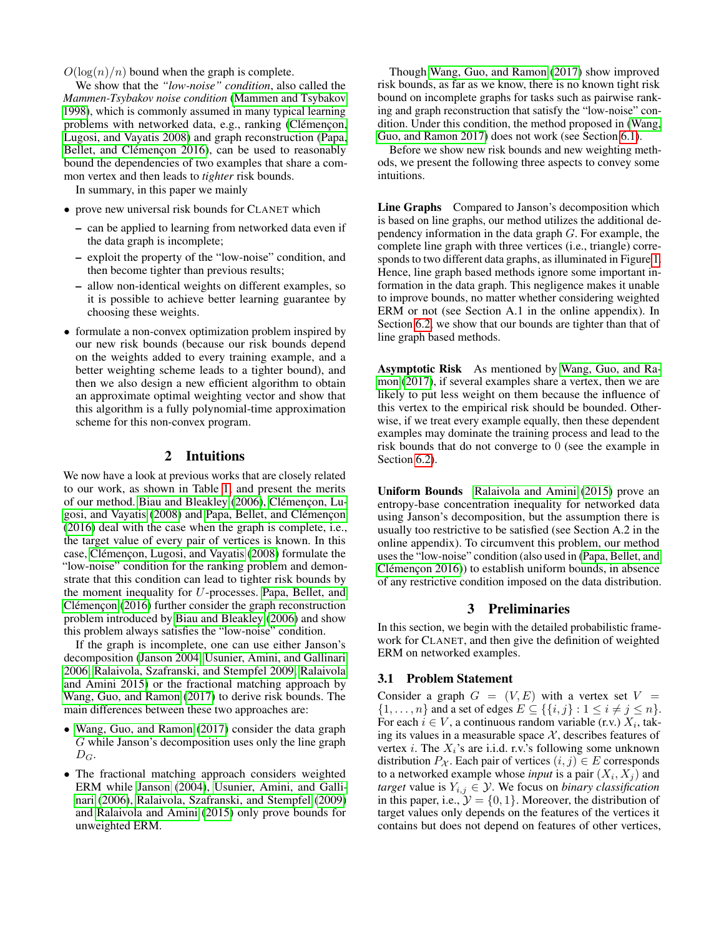$O(\log(n)/n)$  bound when the graph is complete.

We show that the *"low-noise" condition*, also called the *Mammen-Tsybakov noise condition* [\(Mammen and Tsybakov](#page-7-10) [1998\)](#page-7-10), which is commonly assumed in many typical learning problems with networked data, e.g., ranking (Clémençon, [Lugosi, and Vayatis 2008\)](#page-7-11) and graph reconstruction [\(Papa,](#page-7-8) Bellet, and Clémençon 2016), can be used to reasonably bound the dependencies of two examples that share a common vertex and then leads to *tighter* risk bounds.

In summary, in this paper we mainly

- prove new universal risk bounds for CLANET which
	- can be applied to learning from networked data even if the data graph is incomplete;
	- exploit the property of the "low-noise" condition, and then become tighter than previous results;
	- allow non-identical weights on different examples, so it is possible to achieve better learning guarantee by choosing these weights.
- formulate a non-convex optimization problem inspired by our new risk bounds (because our risk bounds depend on the weights added to every training example, and a better weighting scheme leads to a tighter bound), and then we also design a new efficient algorithm to obtain an approximate optimal weighting vector and show that this algorithm is a fully polynomial-time approximation scheme for this non-convex program.

#### 2 Intuitions

<span id="page-1-0"></span>We now have a look at previous works that are closely related to our work, as shown in Table [1,](#page-2-0) and present the merits of our method. [Biau and Bleakley](#page-7-12) [\(2006\)](#page-7-12), Clémençon, Lu[gosi, and Vayatis](#page-7-11) [\(2008\)](#page-7-11) and Papa, Bellet, and Clémencon [\(2016\)](#page-7-8) deal with the case when the graph is complete, i.e., the target value of every pair of vertices is known. In this case, Clémençon, Lugosi, and Vayatis [\(2008\)](#page-7-11) formulate the "low-noise" condition for the ranking problem and demonstrate that this condition can lead to tighter risk bounds by the moment inequality for U-processes. [Papa, Bellet, and](#page-7-8)  $C$ lémençon [\(2016\)](#page-7-8) further consider the graph reconstruction problem introduced by [Biau and Bleakley](#page-7-12) [\(2006\)](#page-7-12) and show this problem always satisfies the "low-noise" condition.

If the graph is incomplete, one can use either Janson's decomposition [\(Janson 2004,](#page-7-13) [Usunier, Amini, and Gallinari](#page-8-0) [2006,](#page-8-0) [Ralaivola, Szafranski, and Stempfel 2009,](#page-7-9) [Ralaivola](#page-7-14) [and Amini 2015\)](#page-7-14) or the fractional matching approach by [Wang, Guo, and Ramon](#page-8-1) [\(2017\)](#page-8-1) to derive risk bounds. The main differences between these two approaches are:

- [Wang, Guo, and Ramon](#page-8-1) [\(2017\)](#page-8-1) consider the data graph G while Janson's decomposition uses only the line graph  $D_G.$
- The fractional matching approach considers weighted ERM while [Janson](#page-7-13) [\(2004\)](#page-7-13), [Usunier, Amini, and Galli](#page-8-0)[nari](#page-8-0) [\(2006\)](#page-8-0), [Ralaivola, Szafranski, and Stempfel](#page-7-9) [\(2009\)](#page-7-9) and [Ralaivola and Amini](#page-7-14) [\(2015\)](#page-7-14) only prove bounds for unweighted ERM.

Though [Wang, Guo, and Ramon](#page-8-1) [\(2017\)](#page-8-1) show improved risk bounds, as far as we know, there is no known tight risk bound on incomplete graphs for tasks such as pairwise ranking and graph reconstruction that satisfy the "low-noise" condition. Under this condition, the method proposed in [\(Wang,](#page-8-1) [Guo, and Ramon 2017\)](#page-8-1) does not work (see Section [6.1\)](#page-6-0).

Before we show new risk bounds and new weighting methods, we present the following three aspects to convey some intuitions.

Line Graphs Compared to Janson's decomposition which is based on line graphs, our method utilizes the additional dependency information in the data graph G. For example, the complete line graph with three vertices (i.e., triangle) corresponds to two different data graphs, as illuminated in Figure [1.](#page-6-1) Hence, line graph based methods ignore some important information in the data graph. This negligence makes it unable to improve bounds, no matter whether considering weighted ERM or not (see Section A.1 in the online appendix). In Section [6.2,](#page-6-2) we show that our bounds are tighter than that of line graph based methods.

Asymptotic Risk As mentioned by [Wang, Guo, and Ra](#page-8-1)[mon](#page-8-1) [\(2017\)](#page-8-1), if several examples share a vertex, then we are likely to put less weight on them because the influence of this vertex to the empirical risk should be bounded. Otherwise, if we treat every example equally, then these dependent examples may dominate the training process and lead to the risk bounds that do not converge to 0 (see the example in Section [6.2\)](#page-6-2).

Uniform Bounds [Ralaivola and Amini](#page-7-14) [\(2015\)](#page-7-14) prove an entropy-base concentration inequality for networked data using Janson's decomposition, but the assumption there is usually too restrictive to be satisfied (see Section A.2 in the online appendix). To circumvent this problem, our method uses the "low-noise" condition (also used in [\(Papa, Bellet, and](#page-7-8)  $Cl$ émençon  $2016$ ) to establish uniform bounds, in absence of any restrictive condition imposed on the data distribution.

#### 3 Preliminaries

In this section, we begin with the detailed probabilistic framework for CLANET, and then give the definition of weighted ERM on networked examples.

#### 3.1 Problem Statement

Consider a graph  $G = (V, E)$  with a vertex set  $V =$  $\{1,\ldots,n\}$  and a set of edges  $E \subseteq \{\{i,j\} : 1 \le i \ne j \le n\}.$ For each  $i \in V$ , a continuous random variable (r.v.)  $X_i$ , taking its values in a measurable space  $X$ , describes features of vertex *i*. The  $X_i$ 's are i.i.d. r.v.'s following some unknown distribution  $P_{\mathcal{X}}$ . Each pair of vertices  $(i, j) \in E$  corresponds to a networked example whose *input* is a pair  $(X_i, X_j)$  and *target* value is  $Y_{i,j} \in \mathcal{Y}$ . We focus on *binary classification* in this paper, i.e.,  $\mathcal{Y} = \{0, 1\}$ . Moreover, the distribution of target values only depends on the features of the vertices it contains but does not depend on features of other vertices,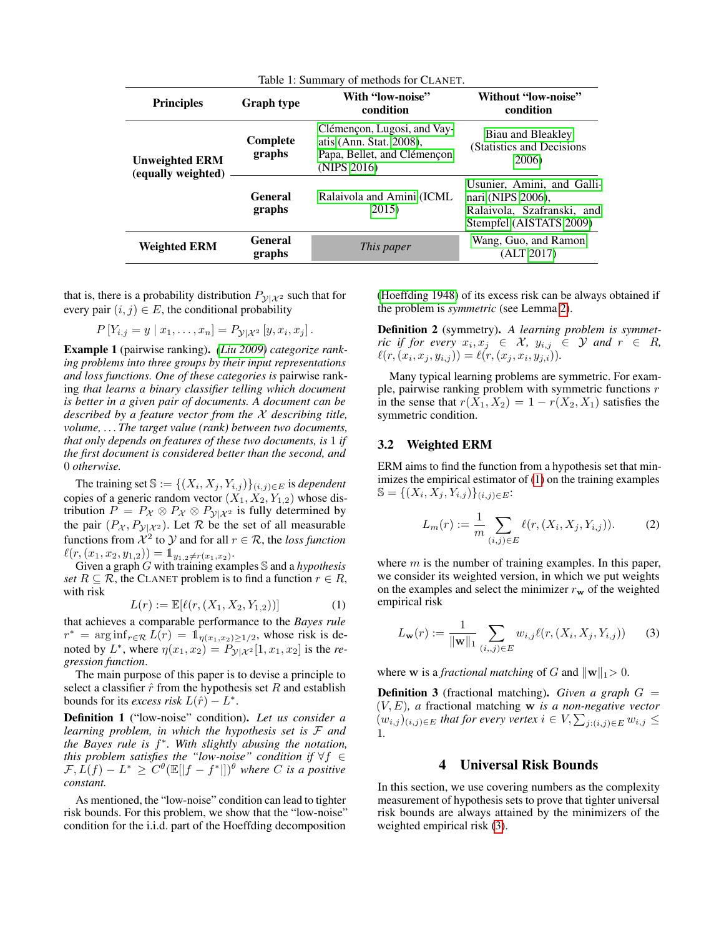<span id="page-2-0"></span>

| Table 1: Summary of methods for CLANET.     |                          |                                                                                                      |                                                                                                          |
|---------------------------------------------|--------------------------|------------------------------------------------------------------------------------------------------|----------------------------------------------------------------------------------------------------------|
| <b>Principles</b>                           | <b>Graph type</b>        | With "low-noise"<br>condition                                                                        | Without "low-noise"<br>condition                                                                         |
| <b>Unweighted ERM</b><br>(equally weighted) | Complete<br>graphs       | Clémençon, Lugosi, and Vay-<br>atis (Ann. Stat. 2008),<br>Papa, Bellet, and Clémençon<br>(NIPS 2016) | Biau and Bleakley<br>(Statistics and Decisions)<br>2006)                                                 |
|                                             | <b>General</b><br>graphs | Ralaivola and Amini (ICML)<br>2015)                                                                  | Usunier, Amini, and Galli-<br>nari (NIPS 2006),<br>Ralaivola, Szafranski, and<br>Stempfel (AISTATS 2009) |
| <b>Weighted ERM</b>                         | <b>General</b><br>graphs | This paper                                                                                           | Wang, Guo, and Ramon<br>(ALT 2017)                                                                       |

that is, there is a probability distribution  $P_{\mathcal{Y}|\mathcal{X}^2}$  such that for every pair  $(i, j) \in E$ , the conditional probability

$$
P[Y_{i,j} = y | x_1, \dots, x_n] = P_{\mathcal{Y} | \mathcal{X}^2} [y, x_i, x_j].
$$

Example 1 (pairwise ranking). *[\(Liu 2009\)](#page-7-15) categorize ranking problems into three groups by their input representations and loss functions. One of these categories is* pairwise ranking *that learns a binary classifier telling which document is better in a given pair of documents. A document can be described by a feature vector from the* X *describing title, volume, . . . The target value (rank) between two documents, that only depends on features of these two documents, is* 1 *if the first document is considered better than the second, and* 0 *otherwise.*

The training set  $\mathbb{S} := \{ (X_i, X_j, Y_{i,j}) \}_{(i,j) \in E}$  is *dependent* copies of a generic random vector  $(X_1, X_2, Y_{1,2})$  whose distribution  $P = P_{\mathcal{X}} \otimes P_{\mathcal{X}} \otimes P_{\mathcal{Y}|\mathcal{X}^2}$  is fully determined by the pair  $(P_{\mathcal{X}}, P_{\mathcal{Y}|\mathcal{X}^2})$ . Let  $\mathcal R$  be the set of all measurable functions from  $\mathcal{X}^2$  to  $\mathcal{Y}$  and for all  $r \in \mathcal{R}$ , the *loss function*  $\ell(r, (x_1, x_2, y_{1,2})) = \mathbb{1}_{y_{1,2} \neq r(x_1, x_2)}$ .

Given a graph G with training examples S and a *hypothesis set*  $R \subseteq \mathcal{R}$ , the CLANET problem is to find a function  $r \in R$ , with risk

<span id="page-2-1"></span>
$$
L(r) := \mathbb{E}[\ell(r, (X_1, X_2, Y_{1,2}))]
$$
 (1)

that achieves a comparable performance to the *Bayes rule*  $r^* = \arg \inf_{r \in \mathcal{R}} L(r) = \mathbb{1}_{\eta(x_1, x_2) \ge 1/2}$ , whose risk is denoted by  $L^*$ , where  $\eta(x_1, x_2) = P_{\mathcal{Y}|\mathcal{X}^2}[1, x_1, x_2]$  is the *regression function*.

The main purpose of this paper is to devise a principle to select a classifier  $\hat{r}$  from the hypothesis set R and establish bounds for its *excess risk*  $L(\hat{r}) - L^*$ .

Definition 1 ("low-noise" condition). *Let us consider a learning problem, in which the hypothesis set is* F *and the Bayes rule is* f ∗ *. With slightly abusing the notation, this problem satisfies the "low-noise" condition if* ∀f ∈  $F, L(f) - L^* \geq C^{\theta}(\mathbb{E}[|f - f^*|])^{\theta}$  where C is a positive *constant.*

As mentioned, the "low-noise" condition can lead to tighter risk bounds. For this problem, we show that the "low-noise" condition for the i.i.d. part of the Hoeffding decomposition

[\(Hoeffding 1948\)](#page-7-16) of its excess risk can be always obtained if the problem is *symmetric* (see Lemma [2\)](#page-4-0).

Definition 2 (symmetry). *A learning problem is symmetric if for every*  $x_i, x_j \in \mathcal{X}$ ,  $y_{i,j} \in \mathcal{Y}$  and  $r \in R$ ,  $\ell(r, (x_i, x_j, y_{i,j})) = \ell(r, (x_j, x_i, y_{j,i})).$ 

Many typical learning problems are symmetric. For example, pairwise ranking problem with symmetric functions  $r$ in the sense that  $r(X_1, X_2) = 1 - r(X_2, X_1)$  satisfies the symmetric condition.

#### 3.2 Weighted ERM

ERM aims to find the function from a hypothesis set that minimizes the empirical estimator of [\(1\)](#page-2-1) on the training examples  $\mathbb{S} = \{(X_i, X_j, Y_{i,j})\}_{(i,j)\in E}$ 

$$
L_m(r) := \frac{1}{m} \sum_{(i,j) \in E} \ell(r, (X_i, X_j, Y_{i,j})).
$$
 (2)

where  $m$  is the number of training examples. In this paper, we consider its weighted version, in which we put weights on the examples and select the minimizer  $r_w$  of the weighted empirical risk

<span id="page-2-2"></span>
$$
L_{\mathbf{w}}(r) := \frac{1}{\|\mathbf{w}\|_1} \sum_{(i,j) \in E} w_{i,j} \ell(r, (X_i, X_j, Y_{i,j})) \qquad (3)
$$

where **w** is a *fractional matching* of G and  $||\mathbf{w}||_1 > 0$ .

Definition 3 (fractional matching). *Given a graph* G = (V, E)*, a* fractional matching w *is a non-negative vector*  $(w_{i,j})_{(i,j)\in E}$  that for every vertex  $i \in V$ ,  $\sum_{j:(i,j)\in E} w_{i,j} \leq$ 1*.*

#### 4 Universal Risk Bounds

<span id="page-2-3"></span>In this section, we use covering numbers as the complexity measurement of hypothesis sets to prove that tighter universal risk bounds are always attained by the minimizers of the weighted empirical risk [\(3\)](#page-2-2).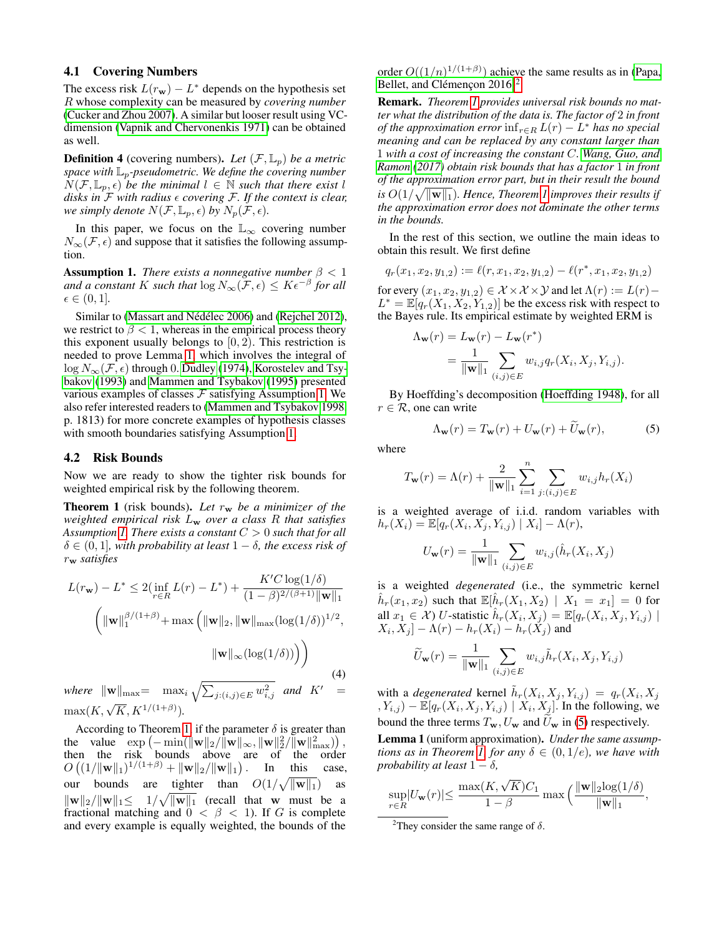#### 4.1 Covering Numbers

The excess risk  $L(r_w) - L^*$  depends on the hypothesis set R whose complexity can be measured by *covering number* [\(Cucker and Zhou 2007\)](#page-7-17). A similar but looser result using VCdimension [\(Vapnik and Chervonenkis 1971\)](#page-8-2) can be obtained as well.

**Definition 4** (covering numbers). Let  $(\mathcal{F}, \mathbb{L}_p)$  be a metric *space with*  $\mathbb{L}_p$ -pseudometric. We define the covering number  $N(\mathcal{F}, \mathbb{L}_p, \epsilon)$  *be the minimal*  $l \in \mathbb{N}$  *such that there exist* l *disks in*  $\bar{F}$  *with radius*  $\epsilon$  *covering*  $\bar{F}$ *. If the context is clear, we simply denote*  $N(\mathcal{F}, \mathbb{L}_p, \epsilon)$  *by*  $N_p(\mathcal{F}, \epsilon)$ *.* 

In this paper, we focus on the  $\mathbb{L}_{\infty}$  covering number  $N_{\infty}(\mathcal{F}, \epsilon)$  and suppose that it satisfies the following assumption.

<span id="page-3-1"></span>**Assumption 1.** *There exists a nonnegative number*  $\beta < 1$ and a constant K such that  $\log N_{\infty}(\mathcal{F}, \epsilon) \leq K \epsilon^{-\beta}$  for all  $\epsilon \in (0, 1]$ .

Similar to (Massart and Nédélec 2006) and [\(Rejchel 2012\)](#page-7-19), we restrict to  $\beta$  < 1, whereas in the empirical process theory this exponent usually belongs to  $[0, 2)$ . This restriction is needed to prove Lemma [1,](#page-3-0) which involves the integral of  $\log N_{\infty}(\mathcal{F}, \epsilon)$  through 0. [Dudley](#page-7-20) [\(1974\)](#page-7-20), [Korostelev and Tsy](#page-7-21)[bakov](#page-7-21) [\(1993\)](#page-7-21) and [Mammen and Tsybakov](#page-7-22) [\(1995\)](#page-7-22) presented various examples of classes  $\mathcal F$  satisfying Assumption [1.](#page-3-1) We also refer interested readers to [\(Mammen and Tsybakov 1998,](#page-7-10) p. 1813) for more concrete examples of hypothesis classes with smooth boundaries satisfying Assumption [1.](#page-3-1)

#### 4.2 Risk Bounds

Now we are ready to show the tighter risk bounds for weighted empirical risk by the following theorem.

<span id="page-3-2"></span>**Theorem 1** (risk bounds). Let  $r_w$  be a minimizer of the *weighted empirical risk* L<sup>w</sup> *over a class* R *that satisfies Assumption [1.](#page-3-1) There exists a constant* C > 0 *such that for all*  $\delta \in (0,1]$ *, with probability at least*  $1 - \delta$ *, the excess risk of* r<sup>w</sup> *satisfies*

$$
L(r_{\mathbf{w}}) - L^* \le 2\left(\inf_{r \in R} L(r) - L^*\right) + \frac{K'C\log(1/\delta)}{(1-\beta)^{2/(\beta+1)}\|\mathbf{w}\|_1}
$$

$$
\left(\|\mathbf{w}\|_1^{\beta/(1+\beta)} + \max\left(\|\mathbf{w}\|_2, \|\mathbf{w}\|_{\max}(\log(1/\delta))\right)^{1/2},\|\mathbf{w}\|_{\infty}(\log(1/\delta))\right)
$$
(4)

where  $\|\mathbf{w}\|_{\text{max}} = \max_{i} \sqrt{\sum_{j:(i,j)\in E} w_{i,j}^2}$  and  $K' =$  $\max(K, \sqrt{K}, K^{1/(1+\beta)}).$ 

According to Theorem [1,](#page-3-2) if the parameter  $\delta$  is greater than the value  $\exp(-\min(||\mathbf{w}||_2/||\mathbf{w}||_{\infty}, ||\mathbf{w}||_2^2/||\mathbf{w}||_{\max}^2)),$ then the risk bounds above are of the order  $O((1/\|\mathbf{w}\|_1)^{1/(1+\beta)} + \|\mathbf{w}\|_2/\|\mathbf{w}\|_1)$ . In this case, our bounds are tighter than  $O(1/\sqrt{\|\mathbf{w}\|_1})$  as  $\|\mathbf{w}\|_2 / \|\mathbf{w}\|_1 \leq 1 / \sqrt{\|\mathbf{w}\|_1}$  (recall that w must be a fractional matching and  $0 < \beta < 1$ ). If G is complete and every example is equally weighted, the bounds of the order  $O((1/n)^{1/(1+\beta)})$  achieve the same results as in [\(Papa,](#page-7-8) Bellet, and Clémençon  $2016)^2$  $2016)^2$ 

Remark. *Theorem [1](#page-3-2) provides universal risk bounds no matter what the distribution of the data is. The factor of* 2 *in front of the approximation error*  $\inf_{r \in R} L(r) - L^*$  *has no special meaning and can be replaced by any constant larger than* 1 *with a cost of increasing the constant* C*. [Wang, Guo, and](#page-8-1) [Ramon](#page-8-1) [\(2017\)](#page-8-1) obtain risk bounds that has a factor* 1 *in front of the approximation error part, but in their result the bound* is  $O(1/\sqrt{\|\mathbf{w}\|_1})$ . Hence, Theorem [1](#page-3-2) improves their results if *the approximation error does not dominate the other terms in the bounds.*

In the rest of this section, we outline the main ideas to obtain this result. We first define

$$
q_r(x_1,x_2,y_{1,2}):=\ell(r,x_1,x_2,y_{1,2})-\ell(r^*,x_1,x_2,y_{1,2})
$$

for every  $(x_1, x_2, y_{1,2}) \in \mathcal{X} \times \mathcal{X} \times \mathcal{Y}$  and let  $\Lambda(r) := L(r) - \Lambda(r)$  $L^* = \mathbb{E}[q_r(X_1, X_2, Y_{1,2})]$  be the excess risk with respect to the Bayes rule. Its empirical estimate by weighted ERM is

$$
\Lambda_{\mathbf{w}}(r) = L_{\mathbf{w}}(r) - L_{\mathbf{w}}(r^*)
$$
  
= 
$$
\frac{1}{\|\mathbf{w}\|_1} \sum_{(i,j) \in E} w_{i,j} q_r(X_i, X_j, Y_{i,j}).
$$

By Hoeffding's decomposition [\(Hoeffding 1948\)](#page-7-16), for all  $r \in \mathcal{R}$ , one can write

<span id="page-3-4"></span>
$$
\Lambda_{\mathbf{w}}(r) = T_{\mathbf{w}}(r) + U_{\mathbf{w}}(r) + \widetilde{U}_{\mathbf{w}}(r),
$$
 (5)

where

$$
T_{\mathbf{w}}(r) = \Lambda(r) + \frac{2}{\|\mathbf{w}\|_1} \sum_{i=1}^n \sum_{j:(i,j)\in E} w_{i,j} h_r(X_i)
$$

is a weighted average of i.i.d. random variables with  $h_r(X_i) = \mathbb{E}[q_r(X_i, X_j, Y_{i,j}) | X_i] - \Lambda(r),$ 

$$
U_{\mathbf{w}}(r) = \frac{1}{\|\mathbf{w}\|_1} \sum_{(i,j) \in E} w_{i,j} (\hat{h}_r(X_i, X_j))
$$

is a weighted *degenerated* (i.e., the symmetric kernel  $\hat{h}_r(x_1, x_2)$  such that  $\mathbb{E}[\hat{h}_r(X_1, X_2) | X_1 = x_1] = 0$  for all  $x_1 \in \mathcal{X}$ ) U-statistic  $\hat{h}_r(X_i, X_j) = \mathbb{E}[q_r(X_i, X_j, Y_{i,j})]$  $[X_i, X_j] - \Lambda(r) - h_r(X_i) - h_r(X_j)$  and

$$
\widetilde{U}_{\mathbf{w}}(r) = \frac{1}{\|\mathbf{w}\|_1} \sum_{(i,j) \in E} w_{i,j} \widetilde{h}_r(X_i, X_j, Y_{i,j})
$$

with a *degenerated* kernel  $\tilde{h}_r(X_i, X_j, Y_{i,j}) = q_r(X_i, X_j)$  $(X_{i,j}) - \mathbb{E}[q_r(X_i, X_j, Y_{i,j}) | X_i, X_j].$  In the following, we bound the three terms  $T_w$ ,  $U_w$  and  $\overline{U}_w$  in [\(5\)](#page-3-4) respectively.

<span id="page-3-0"></span>Lemma 1 (uniform approximation). *Under the same assump-tions as in Theorem [1,](#page-3-2) for any*  $\delta \in (0,1/e)$ *, we have with probability at least*  $1 - \delta$ *,* 

$$
\sup_{r \in R} \lvert U_{\mathbf{w}}(r) \lvert \leq \frac{\max(K, \sqrt{K})C_1}{1-\beta} \max\Big(\frac{\lVert \mathbf{w} \rVert_2 \log(1/\delta)}{\lVert \mathbf{w} \rVert_1},
$$

<span id="page-3-3"></span><sup>2</sup>They consider the same range of  $\delta$ .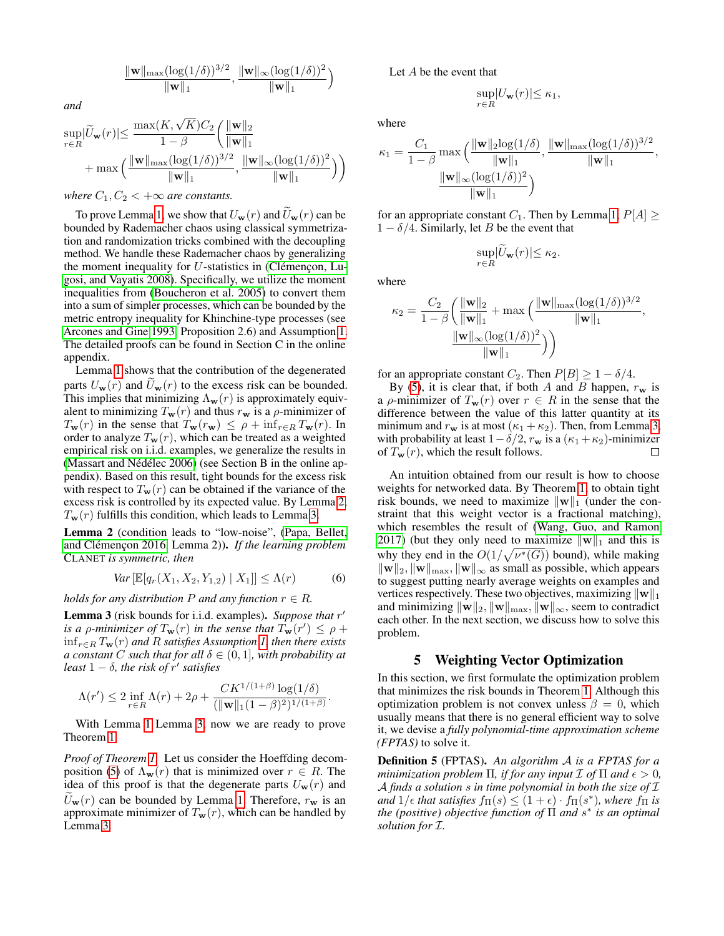$$
\frac{\|\mathbf{w}\|_{\max}(\log(1/\delta))^{3/2}}{\|\mathbf{w}\|_1}, \frac{\|\mathbf{w}\|_{\infty}(\log(1/\delta))^2}{\|\mathbf{w}\|_1}\Big)
$$

*and*

$$
\begin{aligned} \sup_{r\in R} &|\widetilde{U}_{\mathbf{w}}(r)|{\leq}\frac{\max(K,\sqrt{K})C_2}{1-\beta}\bigg(\frac{\|\mathbf{w}\|_2}{\|\mathbf{w}\|_1}\\ &+\max\Big(\frac{\|\mathbf{w}\|_{\max}(\log(1/\delta))^{3/2}}{\|\mathbf{w}\|_1},\frac{\|\mathbf{w}\|_{\infty}(\log(1/\delta))^2}{\|\mathbf{w}\|_1}\Big)\Bigg) \end{aligned}
$$

*where*  $C_1, C_2 < +\infty$  *are constants.* 

To prove Lemma [1,](#page-3-0) we show that  $U_{\mathbf{w}}(r)$  and  $\widetilde{U}_{\mathbf{w}}(r)$  can be bounded by Rademacher chaos using classical symmetrization and randomization tricks combined with the decoupling method. We handle these Rademacher chaos by generalizing the moment inequality for  $U$ -statistics in (Clémençon, Lu[gosi, and Vayatis 2008\)](#page-7-11). Specifically, we utilize the moment inequalities from [\(Boucheron et al.](#page-7-23) 2005) to convert them into a sum of simpler processes, which can be bounded by the metric entropy inequality for Khinchine-type processes (see [Arcones and Gine 1993,](#page-7-24) Proposition 2.6) and Assumption [1.](#page-3-1) The detailed proofs can be found in Section C in the online appendix.

Lemma [1](#page-3-0) shows that the contribution of the degenerated parts  $U_{\mathbf{w}}(r)$  and  $U_{\mathbf{w}}(r)$  to the excess risk can be bounded. This implies that minimizing  $\Lambda_w(r)$  is approximately equivalent to minimizing  $T_{\mathbf{w}}(r)$  and thus  $r_{\mathbf{w}}$  is a  $\rho$ -minimizer of  $T_{\mathbf{w}}(r)$  in the sense that  $T_{\mathbf{w}}(r_{\mathbf{w}}) \leq \rho + \inf_{r \in R} T_{\mathbf{w}}(r)$ . In order to analyze  $T_w(r)$ , which can be treated as a weighted empirical risk on i.i.d. examples, we generalize the results in (Massart and Nédélec 2006) (see Section B in the online appendix). Based on this result, tight bounds for the excess risk with respect to  $T_w(r)$  can be obtained if the variance of the excess risk is controlled by its expected value. By Lemma [2,](#page-4-0)  $T_w(r)$  fulfills this condition, which leads to Lemma [3.](#page-4-1)

<span id="page-4-0"></span>Lemma 2 (condition leads to "low-noise", [\(Papa, Bellet,](#page-7-8) and Clémençon 2016, Lemma 2)). *If the learning problem* CLANET *is symmetric, then*

$$
Var\left[\mathbb{E}[q_r(X_1, X_2, Y_{1,2}) \mid X_1]\right] \le \Lambda(r) \tag{6}
$$

.

*holds for any distribution*  $P$  *and any function*  $r \in R$ *.* 

<span id="page-4-1"></span>Lemma 3 (risk bounds for i.i.d. examples). Suppose that r' *is a p-minimizer of*  $T_{\bf w}(r)$  *in the sense that*  $T_{\bf w}(r') \le \rho +$ infr∈<sup>R</sup> Tw(r) *and* R *satisfies Assumption [1,](#page-3-1) then there exists a constant* C *such that for all*  $\delta \in (0, 1]$ *, with probability at least*  $1 - \delta$ *, the risk of*  $r'$  *satisfies* 

$$
\Lambda(r') \le 2 \inf_{r \in R} \Lambda(r) + 2\rho + \frac{CK^{1/(1+\beta)}\log(1/\delta)}{(\|\mathbf{w}\|_1(1-\beta)^2)^{1/(1+\beta)}}
$$

With Lemma [1](#page-3-0) Lemma [3,](#page-4-1) now we are ready to prove Theorem [1.](#page-3-2)

*Proof of Theorem [1.](#page-3-2)* Let us consider the Hoeffding decom-position [\(5\)](#page-3-4) of  $\Lambda_{\mathbf{w}}(r)$  that is minimized over  $r \in R$ . The idea of this proof is that the degenerate parts  $U_w(r)$  and  $U_{\bf w}(r)$  can be bounded by Lemma [1.](#page-3-0) Therefore,  $r_{\bf w}$  is an approximate minimizer of  $T_w(r)$ , which can be handled by Lemma [3.](#page-4-1)

Let A be the event that

$$
\sup_{r \in R} |U_{\mathbf{w}}(r)| \le \kappa_1,
$$

where

$$
\kappa_1 = \frac{C_1}{1-\beta} \max\left(\frac{\|\mathbf{w}\|_2 \log(1/\delta)}{\|\mathbf{w}\|_1}, \frac{\|\mathbf{w}\|_{\max} (\log(1/\delta))^{3/2}}{\|\mathbf{w}\|_1}, \frac{\|\mathbf{w}\|_{\infty} (\log(1/\delta))^2}{\|\mathbf{w}\|_1}\right),
$$

for an appropriate constant  $C_1$ . Then by Lemma [1,](#page-3-0)  $P[A] \geq$  $1 - \delta/4$ . Similarly, let B be the event that

$$
\sup_{r \in R} |\widetilde{U}_{\mathbf{w}}(r)| \leq \kappa_2.
$$

where

$$
\kappa_2 = \frac{C_2}{1-\beta} \left( \frac{\|\mathbf{w}\|_2}{\|\mathbf{w}\|_1} + \max\left( \frac{\|\mathbf{w}\|_{\max} (\log(1/\delta))^{3/2}}{\|\mathbf{w}\|_1}, \frac{\|\mathbf{w}\|_{\infty} (\log(1/\delta))^2}{\|\mathbf{w}\|_1} \right) \right)
$$

for an appropriate constant  $C_2$ . Then  $P[B] \geq 1 - \delta/4$ .

By [\(5\)](#page-3-4), it is clear that, if both A and B happen,  $r_w$  is a  $\rho$ -minimizer of  $T_w(r)$  over  $r \in R$  in the sense that the difference between the value of this latter quantity at its minimum and  $r_w$  is at most  $(\kappa_1 + \kappa_2)$ . Then, from Lemma [3,](#page-4-1) with probability at least  $1-\delta/2$ ,  $r_w$  is a  $(\kappa_1 + \kappa_2)$ -minimizer of  $T_w(r)$ , which the result follows. П

An intuition obtained from our result is how to choose weights for networked data. By Theorem [1,](#page-3-2) to obtain tight risk bounds, we need to maximize  $\|\mathbf{w}\|_1$  (under the constraint that this weight vector is a fractional matching), which resembles the result of [\(Wang, Guo, and Ramon](#page-8-1) [2017\)](#page-8-1) (but they only need to maximize  $\|\mathbf{w}\|_1$  and this is why they end in the  $O(1/\sqrt{\nu^*(G)})$  bound), while making  $\|\mathbf{w}\|_2$ ,  $\|\mathbf{w}\|_{\text{max}}$ ,  $\|\mathbf{w}\|_{\infty}$  as small as possible, which appears to suggest putting nearly average weights on examples and vertices respectively. These two objectives, maximizing  $||\mathbf{w}||_1$ and minimizing  $\|\mathbf{w}\|_2$ ,  $\|\mathbf{w}\|_{\text{max}}$ ,  $\|\mathbf{w}\|_{\infty}$ , seem to contradict each other. In the next section, we discuss how to solve this problem.

#### 5 Weighting Vector Optimization

In this section, we first formulate the optimization problem that minimizes the risk bounds in Theorem [1.](#page-3-2) Although this optimization problem is not convex unless  $\beta = 0$ , which usually means that there is no general efficient way to solve it, we devise a *fully polynomial-time approximation scheme (FPTAS)* to solve it.

Definition 5 (FPTAS). *An algorithm* A *is a FPTAS for a minimization problem*  $\Pi$ *, if for any input*  $\mathcal I$  *of*  $\Pi$  *and*  $\epsilon > 0$ *,* A *finds a solution* s *in time polynomial in both the size of* I and  $1/\epsilon$  that satisfies  $f_{\Pi}(s) \leq (1+\epsilon) \cdot f_{\Pi}(s^*)$ , where  $f_{\Pi}$  is *the (positive) objective function of* Π *and* s ∗ *is an optimal solution for* I*.*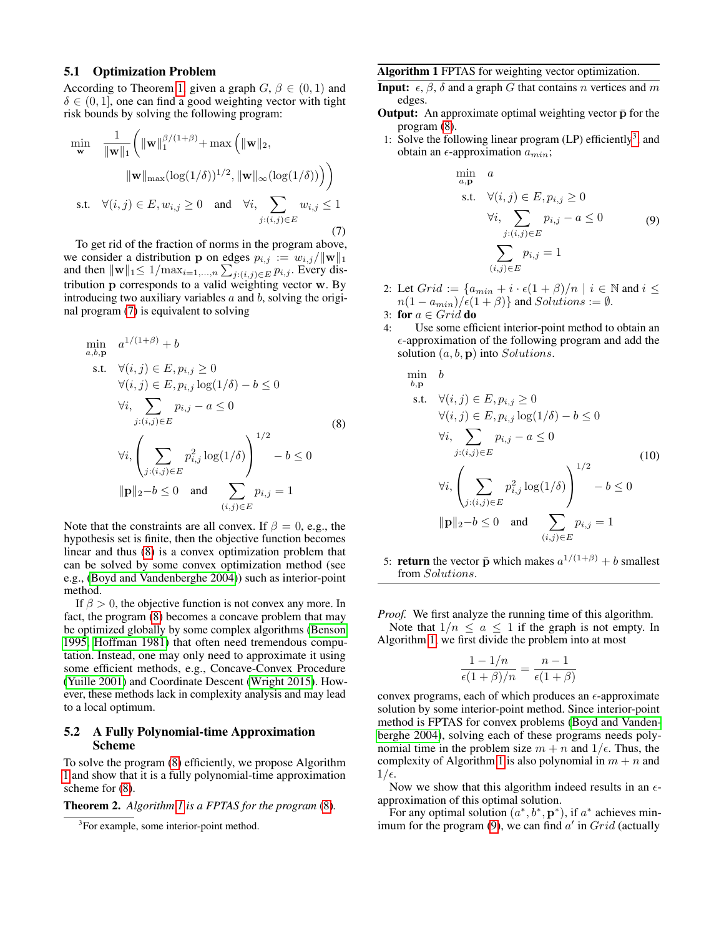#### 5.1 Optimization Problem

According to Theorem [1,](#page-3-2) given a graph  $G, \beta \in (0, 1)$  and  $\delta \in (0, 1]$ , one can find a good weighting vector with tight risk bounds by solving the following program:

<span id="page-5-0"></span>
$$
\min_{\mathbf{w}} \quad \frac{1}{\|\mathbf{w}\|_{1}} \bigg( \|\mathbf{w}\|_{1}^{\beta/(1+\beta)} + \max\left( \|\mathbf{w}\|_{2},
$$
\n
$$
\|\mathbf{w}\|_{\max} (\log(1/\delta))^{1/2}, \|\mathbf{w}\|_{\infty} (\log(1/\delta)) \big) \bigg)
$$
\ns.t.  $\forall (i, j) \in E, w_{i,j} \ge 0$  and  $\forall i, \sum_{j:(i,j) \in E} w_{i,j} \le 1$ \n(7)

To get rid of the fraction of norms in the program above, we consider a distribution **p** on edges  $p_{i,j} := w_{i,j}/\|\mathbf{w}\|_1$ and then  $\|\mathbf{w}\|_1 \leq 1/\max_{i=1,\dots,n} \sum_{j:(i,j)\in E} p_{i,j}$ . Every distribution p corresponds to a valid weighting vector w. By introducing two auxiliary variables  $a$  and  $b$ , solving the original program [\(7\)](#page-5-0) is equivalent to solving

<span id="page-5-1"></span>
$$
\min_{a,b,\mathbf{p}} a^{1/(1+\beta)} + b
$$
\ns.t.  $\forall (i,j) \in E, p_{i,j} \ge 0$   
\n $\forall (i,j) \in E, p_{i,j} \log(1/\delta) - b \le 0$   
\n $\forall i, \sum_{j:(i,j) \in E} p_{i,j} - a \le 0$   
\n $\forall i, \left( \sum_{j:(i,j) \in E} p_{i,j}^2 \log(1/\delta) \right)^{1/2} - b \le 0$   
\n $\|\mathbf{p}\|_2 - b \le 0$  and  $\sum_{(i,j) \in E} p_{i,j} = 1$ 

Note that the constraints are all convex. If  $\beta = 0$ , e.g., the hypothesis set is finite, then the objective function becomes linear and thus [\(8\)](#page-5-1) is a convex optimization problem that can be solved by some convex optimization method (see e.g., [\(Boyd and Vandenberghe 2004\)](#page-7-25)) such as interior-point method.

If  $\beta > 0$ , the objective function is not convex any more. In fact, the program [\(8\)](#page-5-1) becomes a concave problem that may be optimized globally by some complex algorithms [\(Benson](#page-7-26) [1995,](#page-7-26) [Hoffman 1981\)](#page-7-27) that often need tremendous computation. Instead, one may only need to approximate it using some efficient methods, e.g., Concave-Convex Procedure [\(Yuille 2001\)](#page-8-3) and Coordinate Descent [\(Wright 2015\)](#page-8-4). However, these methods lack in complexity analysis and may lead to a local optimum.

#### 5.2 A Fully Polynomial-time Approximation Scheme

To solve the program [\(8\)](#page-5-1) efficiently, we propose Algorithm [1](#page-5-2) and show that it is a fully polynomial-time approximation scheme for [\(8\)](#page-5-1).

Theorem 2. *Algorithm [1](#page-5-2) is a FPTAS for the program* [\(8\)](#page-5-1)*.*

#### <span id="page-5-2"></span>Algorithm 1 FPTAS for weighting vector optimization.

- **Input:**  $\epsilon$ ,  $\beta$ ,  $\delta$  and a graph G that contains n vertices and m edges.
- **Output:** An approximate optimal weighting vector  $\bar{p}$  for the program [\(8\)](#page-5-1).
- 1: Solve the following linear program  $(LP)$  efficiently<sup>[3](#page-5-3)</sup>, and obtain an  $\epsilon$ -approximation  $a_{min}$ ;

<span id="page-5-4"></span>
$$
\min_{a,\mathbf{p}} a
$$
\n
$$
\text{s.t.} \quad \forall (i,j) \in E, p_{i,j} \ge 0
$$
\n
$$
\forall i, \sum_{j:(i,j) \in E} p_{i,j} - a \le 0 \tag{9}
$$
\n
$$
\sum_{(i,j) \in E} p_{i,j} = 1
$$

- 2: Let  $Grid := \{a_{min} + i \cdot \epsilon(1+\beta)/n \mid i \in \mathbb{N} \text{ and } i \leq$  $n(1 - a_{min})/\epsilon(1 + \beta)$  and  $Solutions := \emptyset$ .
- 3: for  $a \in Grid$  do
- 4: Use some efficient interior-point method to obtain an  $\epsilon$ -approximation of the following program and add the solution  $(a, b, p)$  into Solutions.

<span id="page-5-5"></span>
$$
\min_{b,\mathbf{p}} b
$$
\n
$$
\text{s.t. } \forall (i,j) \in E, p_{i,j} \ge 0
$$
\n
$$
\forall (i,j) \in E, p_{i,j} \log(1/\delta) - b \le 0
$$
\n
$$
\forall i, \sum_{j:(i,j) \in E} p_{i,j} - a \le 0
$$
\n
$$
\forall i, \left( \sum_{j:(i,j) \in E} p_{i,j}^2 \log(1/\delta) \right)^{1/2} - b \le 0
$$
\n
$$
\|\mathbf{p}\|_2 - b \le 0 \quad \text{and} \quad \sum_{(i,j) \in E} p_{i,j} = 1
$$
\n(10)

5: **return** the vector  $\bar{p}$  which makes  $a^{1/(1+\beta)} + b$  smallest from Solutions.

*Proof.* We first analyze the running time of this algorithm.

Note that  $1/n \le a \le 1$  if the graph is not empty. In Algorithm [1,](#page-5-2) we first divide the problem into at most

$$
\frac{1 - 1/n}{\epsilon (1 + \beta)/n} = \frac{n - 1}{\epsilon (1 + \beta)}
$$

convex programs, each of which produces an  $\epsilon$ -approximate solution by some interior-point method. Since interior-point method is FPTAS for convex problems [\(Boyd and Vanden](#page-7-25)[berghe 2004\)](#page-7-25), solving each of these programs needs polynomial time in the problem size  $m + n$  and  $1/\epsilon$ . Thus, the complexity of Algorithm [1](#page-5-2) is also polynomial in  $m + n$  and  $1/\epsilon$ .

Now we show that this algorithm indeed results in an  $\epsilon$ approximation of this optimal solution.

For any optimal solution  $(a^*, b^*, \mathbf{p}^*)$ , if  $a^*$  achieves min-imum for the program [\(9\)](#page-5-4), we can find  $a'$  in  $Grid$  (actually

<span id="page-5-3"></span><sup>&</sup>lt;sup>3</sup>For example, some interior-point method.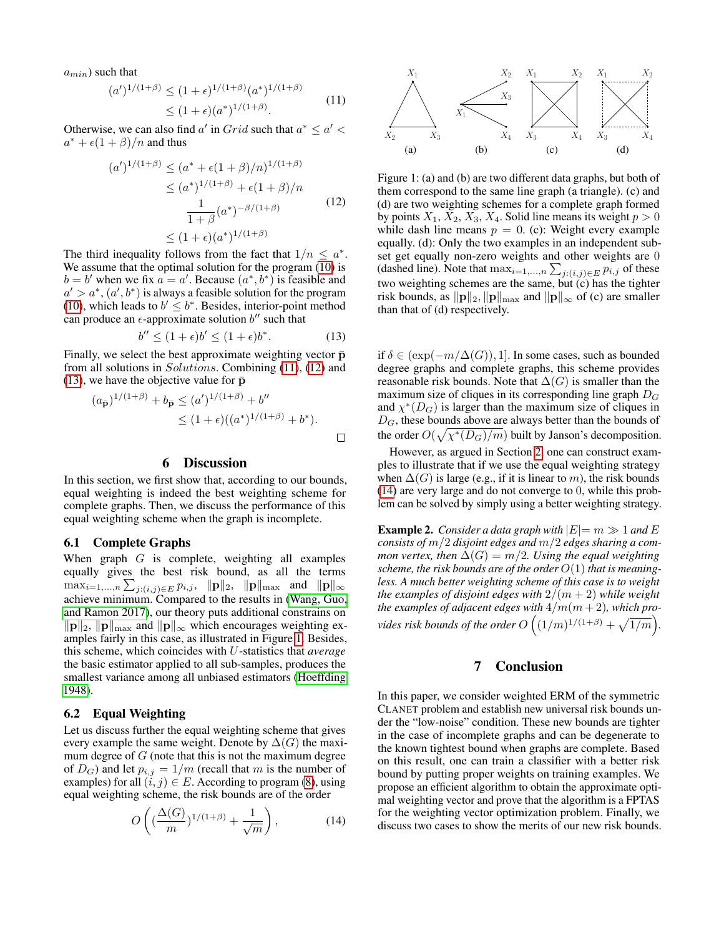$a_{min}$ ) such that

<span id="page-6-3"></span>
$$
(a')^{1/(1+\beta)} \le (1+\epsilon)^{1/(1+\beta)} (a^*)^{1/(1+\beta)}
$$
  
\n
$$
\le (1+\epsilon)(a^*)^{1/(1+\beta)}.
$$
\n(11)

Otherwise, we can also find a' in  $Grid$  such that  $a^* \le a' <$  $a^* + \epsilon(1+\beta)/n$  and thus

<span id="page-6-4"></span>
$$
(a')^{1/(1+\beta)} \le (a^* + \epsilon(1+\beta)/n)^{1/(1+\beta)}
$$
  
\n
$$
\le (a^*)^{1/(1+\beta)} + \epsilon(1+\beta)/n
$$
  
\n
$$
\frac{1}{1+\beta}(a^*)^{-\beta/(1+\beta)}
$$
(12)  
\n
$$
\le (1+\epsilon)(a^*)^{1/(1+\beta)}
$$

The third inequality follows from the fact that  $1/n \leq a^*$ . We assume that the optimal solution for the program [\(10\)](#page-5-5) is  $b = b'$  when we fix  $a = a'$ . Because  $(a^*, b^*)$  is feasible and  $a' > a^*$ ,  $(a', b^*)$  is always a feasible solution for the program [\(10\)](#page-5-5), which leads to  $b' \leq b^*$ . Besides, interior-point method can produce an  $\epsilon$ -approximate solution b'' such that

<span id="page-6-5"></span>
$$
b'' \le (1 + \epsilon)b' \le (1 + \epsilon)b^*.
$$
 (13)

Finally, we select the best approximate weighting vector  $\bar{p}$ from all solutions in Solutions. Combining [\(11\)](#page-6-3), [\(12\)](#page-6-4) and [\(13\)](#page-6-5), we have the objective value for  $\bar{p}$ 

$$
(a_{\bar{\mathbf{p}}})^{1/(1+\beta)} + b_{\bar{\mathbf{p}}} \leq (a')^{1/(1+\beta)} + b''
$$
  
 
$$
\leq (1+\epsilon)((a^*)^{1/(1+\beta)} + b^*).
$$

#### 6 Discussion

In this section, we first show that, according to our bounds, equal weighting is indeed the best weighting scheme for complete graphs. Then, we discuss the performance of this equal weighting scheme when the graph is incomplete.

#### <span id="page-6-0"></span>6.1 Complete Graphs

When graph  $G$  is complete, weighting all examples equally gives the best risk bound, as all the terms  $\max_{i=1,...,n}\sum_{j:(i,j)\in E}p_{i,j},\|p\|_2,\|p\|_{\max}$  and  $\|p\|_{\infty}$ achieve minimum. Compared to the results in [\(Wang, Guo,](#page-8-1) [and Ramon 2017\)](#page-8-1), our theory puts additional constrains on  $\|\mathbf{p}\|_2$ ,  $\|\mathbf{p}\|_{\text{max}}$  and  $\|\mathbf{p}\|_{\infty}$  which encourages weighting examples fairly in this case, as illustrated in Figure [1.](#page-6-1) Besides, this scheme, which coincides with U-statistics that *average* the basic estimator applied to all sub-samples, produces the smallest variance among all unbiased estimators [\(Hoeffding](#page-7-16) [1948\)](#page-7-16).

#### <span id="page-6-2"></span>6.2 Equal Weighting

Let us discuss further the equal weighting scheme that gives every example the same weight. Denote by  $\Delta(G)$  the maximum degree of  $G$  (note that this is not the maximum degree of  $D_G$ ) and let  $p_{i,j} = 1/m$  (recall that m is the number of examples) for all  $(i, j) \in E$ . According to program [\(8\)](#page-5-1), using equal weighting scheme, the risk bounds are of the order

<span id="page-6-6"></span>
$$
O\left((\frac{\Delta(G)}{m})^{1/(1+\beta)} + \frac{1}{\sqrt{m}}\right),\tag{14}
$$



<span id="page-6-1"></span>Figure 1: (a) and (b) are two different data graphs, but both of them correspond to the same line graph (a triangle). (c) and (d) are two weighting schemes for a complete graph formed by points  $X_1, X_2, X_3, X_4$ . Solid line means its weight  $p > 0$ while dash line means  $p = 0$ . (c): Weight every example equally. (d): Only the two examples in an independent subset get equally non-zero weights and other weights are 0 (dashed line). Note that  $\max_{i=1,...,n} \sum_{j:(i,j) \in E} p_{i,j}$  of these two weighting schemes are the same, but (c) has the tighter risk bounds, as  $\|\mathbf{p}\|_2$ ,  $\|\mathbf{p}\|_{\text{max}}$  and  $\|\mathbf{p}\|_{\infty}$  of (c) are smaller than that of (d) respectively.

if  $\delta \in (\exp(-m/\Delta(G)), 1]$ . In some cases, such as bounded degree graphs and complete graphs, this scheme provides reasonable risk bounds. Note that  $\Delta(G)$  is smaller than the maximum size of cliques in its corresponding line graph  $D<sub>G</sub>$ and  $\chi^*(D_G)$  is larger than the maximum size of cliques in  $D_G$ , these bounds above are always better than the bounds of the order  $O(\sqrt{\chi^*(D_G)/m})$  built by Janson's decomposition.

However, as argued in Section [2,](#page-1-0) one can construct examples to illustrate that if we use the equal weighting strategy when  $\Delta(G)$  is large (e.g., if it is linear to m), the risk bounds [\(14\)](#page-6-6) are very large and do not converge to 0, while this problem can be solved by simply using a better weighting strategy.

**Example 2.** Consider a data graph with  $|E|=m \gg 1$  and E *consists of* m/2 *disjoint edges and* m/2 *edges sharing a common vertex, then*  $\Delta(G) = m/2$ *. Using the equal weighting scheme, the risk bounds are of the order* O(1) *that is meaningless. A much better weighting scheme of this case is to weight the examples of disjoint edges with*  $2/(m+2)$  *while weight the examples of adjacent edges with*  $4/m(m+2)$ *, which provides risk bounds of the order*  $O\left((1/m)^{1/(1+\beta)} + \sqrt{1/m}\right)$ .

#### 7 Conclusion

In this paper, we consider weighted ERM of the symmetric CLANET problem and establish new universal risk bounds under the "low-noise" condition. These new bounds are tighter in the case of incomplete graphs and can be degenerate to the known tightest bound when graphs are complete. Based on this result, one can train a classifier with a better risk bound by putting proper weights on training examples. We propose an efficient algorithm to obtain the approximate optimal weighting vector and prove that the algorithm is a FPTAS for the weighting vector optimization problem. Finally, we discuss two cases to show the merits of our new risk bounds.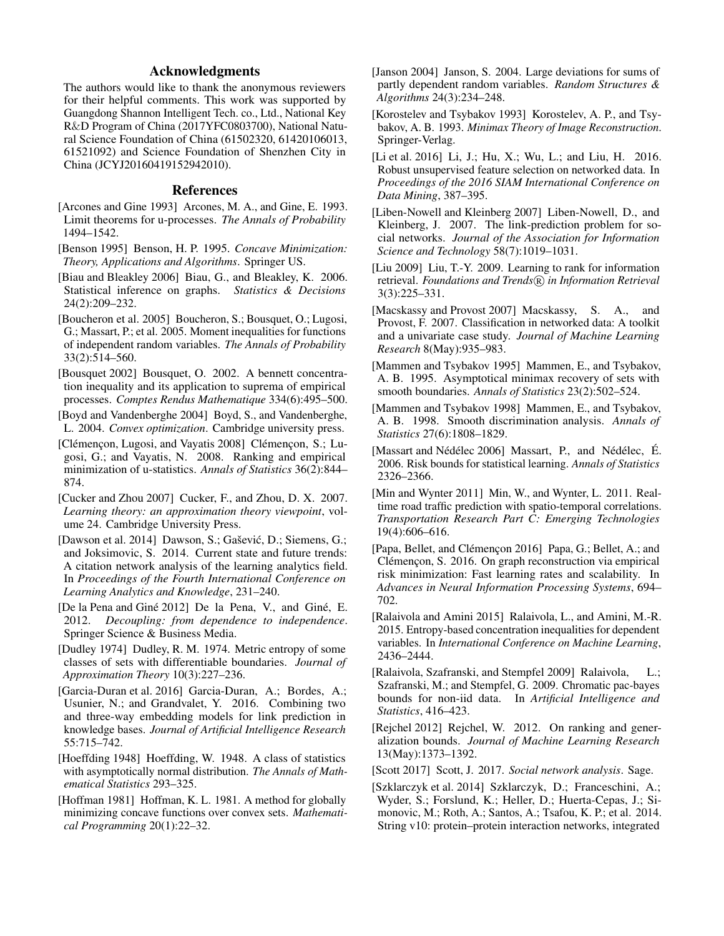#### Acknowledgments

The authors would like to thank the anonymous reviewers for their helpful comments. This work was supported by Guangdong Shannon Intelligent Tech. co., Ltd., National Key R&D Program of China (2017YFC0803700), National Natural Science Foundation of China (61502320, 61420106013, 61521092) and Science Foundation of Shenzhen City in China (JCYJ20160419152942010).

#### References

- <span id="page-7-24"></span>[Arcones and Gine 1993] Arcones, M. A., and Gine, E. 1993. Limit theorems for u-processes. *The Annals of Probability* 1494–1542.
- <span id="page-7-26"></span>[Benson 1995] Benson, H. P. 1995. *Concave Minimization: Theory, Applications and Algorithms*. Springer US.
- <span id="page-7-12"></span>[Biau and Bleakley 2006] Biau, G., and Bleakley, K. 2006. Statistical inference on graphs. *Statistics & Decisions* 24(2):209–232.
- <span id="page-7-23"></span>[Boucheron et al. 2005] Boucheron, S.; Bousquet, O.; Lugosi, G.; Massart, P.; et al. 2005. Moment inequalities for functions of independent random variables. *The Annals of Probability* 33(2):514–560.
- <span id="page-7-28"></span>[Bousquet 2002] Bousquet, O. 2002. A bennett concentration inequality and its application to suprema of empirical processes. *Comptes Rendus Mathematique* 334(6):495–500.
- <span id="page-7-25"></span>[Boyd and Vandenberghe 2004] Boyd, S., and Vandenberghe, L. 2004. *Convex optimization*. Cambridge university press.
- <span id="page-7-11"></span>[Clémençon, Lugosi, and Vayatis 2008] Clémençon, S.; Lugosi, G.; and Vayatis, N. 2008. Ranking and empirical minimization of u-statistics. *Annals of Statistics* 36(2):844– 874.
- <span id="page-7-17"></span>[Cucker and Zhou 2007] Cucker, F., and Zhou, D. X. 2007. *Learning theory: an approximation theory viewpoint*, volume 24. Cambridge University Press.
- <span id="page-7-3"></span>[Dawson et al. 2014] Dawson, S.; Gašević, D.; Siemens, G.; and Joksimovic, S. 2014. Current state and future trends: A citation network analysis of the learning analytics field. In *Proceedings of the Fourth International Conference on Learning Analytics and Knowledge*, 231–240.
- <span id="page-7-29"></span>[De la Pena and Giné 2012] De la Pena, V., and Giné, E. 2012. *Decoupling: from dependence to independence*. Springer Science & Business Media.
- <span id="page-7-20"></span>[Dudley 1974] Dudley, R. M. 1974. Metric entropy of some classes of sets with differentiable boundaries. *Journal of Approximation Theory* 10(3):227–236.
- <span id="page-7-7"></span>[Garcia-Duran et al. 2016] Garcia-Duran, A.; Bordes, A.; Usunier, N.; and Grandvalet, Y. 2016. Combining two and three-way embedding models for link prediction in knowledge bases. *Journal of Artificial Intelligence Research* 55:715–742.
- <span id="page-7-16"></span>[Hoeffding 1948] Hoeffding, W. 1948. A class of statistics with asymptotically normal distribution. *The Annals of Mathematical Statistics* 293–325.
- <span id="page-7-27"></span>[Hoffman 1981] Hoffman, K. L. 1981. A method for globally minimizing concave functions over convex sets. *Mathematical Programming* 20(1):22–32.
- <span id="page-7-13"></span>[Janson 2004] Janson, S. 2004. Large deviations for sums of partly dependent random variables. *Random Structures & Algorithms* 24(3):234–248.
- <span id="page-7-21"></span>[Korostelev and Tsybakov 1993] Korostelev, A. P., and Tsybakov, A. B. 1993. *Minimax Theory of Image Reconstruction*. Springer-Verlag.
- <span id="page-7-6"></span>[Li et al. 2016] Li, J.; Hu, X.; Wu, L.; and Liu, H. 2016. Robust unsupervised feature selection on networked data. In *Proceedings of the 2016 SIAM International Conference on Data Mining*, 387–395.
- <span id="page-7-4"></span>[Liben-Nowell and Kleinberg 2007] Liben-Nowell, D., and Kleinberg, J. 2007. The link-prediction problem for social networks. *Journal of the Association for Information Science and Technology* 58(7):1019–1031.
- <span id="page-7-15"></span>[Liu 2009] Liu, T.-Y. 2009. Learning to rank for information retrieval. Foundations and Trends<sup>(R)</sup> in Information Retrieval 3(3):225–331.
- <span id="page-7-5"></span>[Macskassy and Provost 2007] Macskassy, S. A., and Provost, F. 2007. Classification in networked data: A toolkit and a univariate case study. *Journal of Machine Learning Research* 8(May):935–983.
- <span id="page-7-22"></span>[Mammen and Tsybakov 1995] Mammen, E., and Tsybakov, A. B. 1995. Asymptotical minimax recovery of sets with smooth boundaries. *Annals of Statistics* 23(2):502–524.
- <span id="page-7-10"></span>[Mammen and Tsybakov 1998] Mammen, E., and Tsybakov, A. B. 1998. Smooth discrimination analysis. *Annals of Statistics* 27(6):1808–1829.
- <span id="page-7-18"></span>[Massart and Nédélec 2006] Massart, P., and Nédélec, É. 2006. Risk bounds for statistical learning. *Annals of Statistics* 2326–2366.
- <span id="page-7-1"></span>[Min and Wynter 2011] Min, W., and Wynter, L. 2011. Realtime road traffic prediction with spatio-temporal correlations. *Transportation Research Part C: Emerging Technologies* 19(4):606–616.
- <span id="page-7-8"></span>[Papa, Bellet, and Clémencon 2016] Papa, G.; Bellet, A.; and Clémencon, S. 2016. On graph reconstruction via empirical risk minimization: Fast learning rates and scalability. In *Advances in Neural Information Processing Systems*, 694– 702.
- <span id="page-7-14"></span>[Ralaivola and Amini 2015] Ralaivola, L., and Amini, M.-R. 2015. Entropy-based concentration inequalities for dependent variables. In *International Conference on Machine Learning*, 2436–2444.
- <span id="page-7-9"></span>[Ralaivola, Szafranski, and Stempfel 2009] Ralaivola, L.; Szafranski, M.; and Stempfel, G. 2009. Chromatic pac-bayes bounds for non-iid data. In *Artificial Intelligence and Statistics*, 416–423.
- <span id="page-7-19"></span>[Rejchel 2012] Rejchel, W. 2012. On ranking and generalization bounds. *Journal of Machine Learning Research* 13(May):1373–1392.
- <span id="page-7-0"></span>[Scott 2017] Scott, J. 2017. *Social network analysis*. Sage.
- <span id="page-7-2"></span>[Szklarczyk et al. 2014] Szklarczyk, D.; Franceschini, A.; Wyder, S.; Forslund, K.; Heller, D.; Huerta-Cepas, J.; Simonovic, M.; Roth, A.; Santos, A.; Tsafou, K. P.; et al. 2014. String v10: protein–protein interaction networks, integrated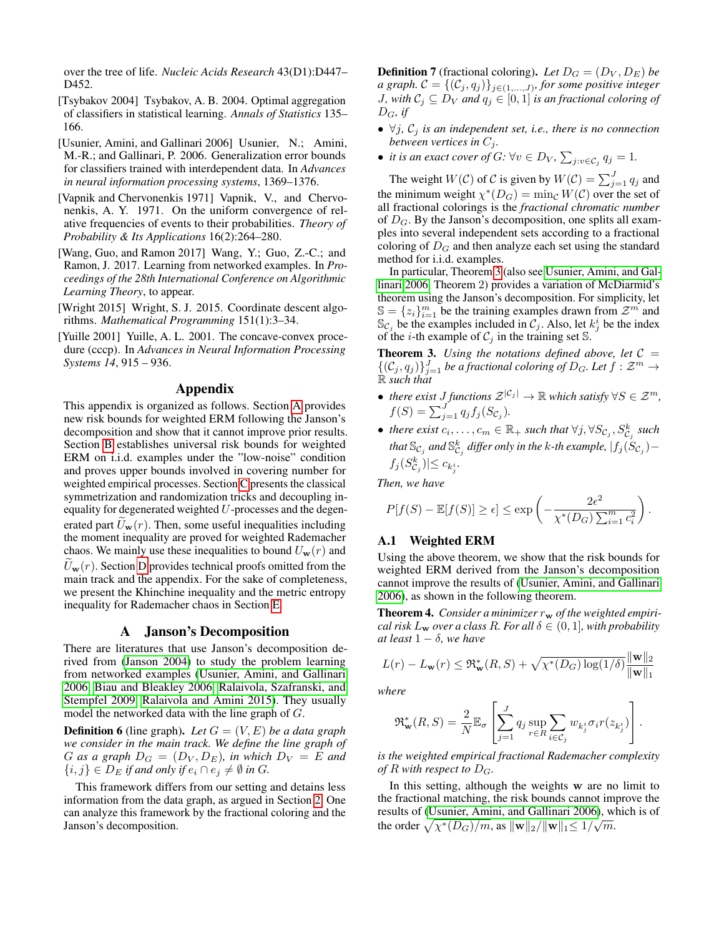over the tree of life. *Nucleic Acids Research* 43(D1):D447– D452.

- <span id="page-8-7"></span>[Tsybakov 2004] Tsybakov, A. B. 2004. Optimal aggregation of classifiers in statistical learning. *Annals of Statistics* 135– 166.
- <span id="page-8-0"></span>[Usunier, Amini, and Gallinari 2006] Usunier, N.; Amini, M.-R.; and Gallinari, P. 2006. Generalization error bounds for classifiers trained with interdependent data. In *Advances in neural information processing systems*, 1369–1376.
- <span id="page-8-2"></span>[Vapnik and Chervonenkis 1971] Vapnik, V., and Chervonenkis, A. Y. 1971. On the uniform convergence of relative frequencies of events to their probabilities. *Theory of Probability & Its Applications* 16(2):264–280.
- <span id="page-8-1"></span>[Wang, Guo, and Ramon 2017] Wang, Y.; Guo, Z.-C.; and Ramon, J. 2017. Learning from networked examples. In *Proceedings of the 28th International Conference on Algorithmic Learning Theory*, to appear.
- <span id="page-8-4"></span>[Wright 2015] Wright, S. J. 2015. Coordinate descent algorithms. *Mathematical Programming* 151(1):3–34.
- <span id="page-8-3"></span>[Yuille 2001] Yuille, A. L. 2001. The concave-convex procedure (cccp). In *Advances in Neural Information Processing Systems 14*, 915 – 936.

#### Appendix

This appendix is organized as follows. Section [A](#page-8-5) provides new risk bounds for weighted ERM following the Janson's decomposition and show that it cannot improve prior results. Section [B](#page-9-0) establishes universal risk bounds for weighted ERM on i.i.d. examples under the "low-noise" condition and proves upper bounds involved in covering number for weighted empirical processes. Section [C](#page-10-0) presents the classical symmetrization and randomization tricks and decoupling inequality for degenerated weighted  $U$ -processes and the degenerated part  $U_{\bf w}(r)$ . Then, some useful inequalities including the moment inequality are proved for weighted Rademacher chaos. We mainly use these inequalities to bound  $U_{\bf w}(r)$  and  $U_{\mathbf{w}}(r)$ . Section [D](#page-11-0) provides technical proofs omitted from the main track and the appendix. For the sake of completeness, we present the Khinchine inequality and the metric entropy inequality for Rademacher chaos in Section [E.](#page-18-0)

#### A Janson's Decomposition

<span id="page-8-5"></span>There are literatures that use Janson's decomposition derived from [\(Janson 2004\)](#page-7-13) to study the problem learning from networked examples [\(Usunier, Amini, and Gallinari](#page-8-0) [2006,](#page-8-0) [Biau and Bleakley 2006,](#page-7-12) [Ralaivola, Szafranski, and](#page-7-9) [Stempfel 2009,](#page-7-9) [Ralaivola and Amini 2015\)](#page-7-14). They usually model the networked data with the line graph of G.

**Definition 6** (line graph). Let  $G = (V, E)$  be a data graph *we consider in the main track. We define the line graph of* G as a graph  $D_G = (D_V, D_E)$ , in which  $D_V = E$  and  $\{i, j\} \in D_E$  *if and only if*  $e_i \cap e_j \neq \emptyset$  *in* G.

This framework differs from our setting and detains less information from the data graph, as argued in Section [2.](#page-1-0) One can analyze this framework by the fractional coloring and the Janson's decomposition.

**Definition 7** (fractional coloring). Let  $D_G = (D_V, D_E)$  be *a graph.*  $\mathcal{C} = \{(\mathcal{C}_j, q_j)\}_{j \in (1, ..., J)}$ , for some positive integer *J, with*  $C_j \subseteq D_V$  *and*  $q_j \in [0,1]$  *is an fractional coloring of*  $D_G$ , if

- $\forall j, C_j$  *is an independent set, i.e., there is no connection between vertices in*  $C_j$ *.*
- *it is an exact cover of G:*  $\forall v \in D_V$ ,  $\sum_{j:v \in C_j} q_j = 1$ .

The weight  $W(C)$  of C is given by  $W(C) = \sum_{j=1}^{J} q_j$  and the minimum weight  $\chi^*(D_G) = \min_{\mathcal{C}} W(\mathcal{C})$  over the set of all fractional colorings is the *fractional chromatic number* of  $D_G$ . By the Janson's decomposition, one splits all examples into several independent sets according to a fractional coloring of  $D_G$  and then analyze each set using the standard method for i.i.d. examples.

In particular, Theorem [3](#page-8-6) (also see [Usunier, Amini, and Gal](#page-8-0)[linari 2006,](#page-8-0) Theorem 2) provides a variation of McDiarmid's theorem using the Janson's decomposition. For simplicity, let  $\mathbb{S} = \{z_i\}_{i=1}^m$  be the training examples drawn from  $\mathcal{Z}^m$  and  $\mathbb{S}_{\mathcal{C}_j}$  be the examples included in  $\mathcal{C}_j$ . Also, let  $k_j^i$  be the index of the *i*-th example of  $C_j$  in the training set S.

<span id="page-8-6"></span>**Theorem 3.** Using the notations defined above, let  $C =$  $\{(\mathcal{C}_j, q_j)\}_{j=1}^J$  be a fractional coloring of  $D_G$ . Let  $f : \mathcal{Z}^m \to$ R *such that*

- *there exist J functions*  $\mathcal{Z}^{|\mathcal{C}_j|} \to \mathbb{R}$  *which satisfy*  $\forall S \in \mathcal{Z}^m$ *,*  $f(S) = \sum_{j=1}^{J} q_j f_j(S_{C_j}).$
- there exist  $c_i, \ldots, c_m \in \mathbb{R}_+$  such that  $\forall j, \forall S_{\mathcal{C}_j}, S_{\mathcal{C}_j}^k$  such that  $\mathbb{S}_{\mathcal{C}_j}$  and  $\mathbb{S}^k_{\mathcal{C}_j}$  differ only in the k-th example,  $|f_j(\dot{S}_{\mathcal{C}_j})$  $f_j(S^k_{\mathcal{C}_j}) \leq c_{k^i_j}.$

*Then, we have*

$$
P[f(S) - \mathbb{E}[f(S)] \ge \epsilon] \le \exp\left(-\frac{2\epsilon^2}{\chi^*(D_G)\sum_{i=1}^m c_i^2}\right).
$$

#### A.1 Weighted ERM

Using the above theorem, we show that the risk bounds for weighted ERM derived from the Janson's decomposition cannot improve the results of [\(Usunier, Amini, and Gallinari](#page-8-0) [2006\)](#page-8-0), as shown in the following theorem.

<span id="page-8-8"></span>**Theorem 4.** Consider a minimizer  $r_w$  of the weighted empiri*cal risk*  $L_w$  *over a class R. For all*  $\delta \in (0, 1]$ *, with probability at least*  $1 - \delta$ *, we have* 

$$
L(r) - L_{\mathbf{w}}(r) \leq \mathfrak{R}_{\mathbf{w}}^*(R, S) + \sqrt{\chi^*(D_G) \log(1/\delta)} \frac{\|\mathbf{w}\|_2}{\|\mathbf{w}\|_1}
$$

*where*

$$
\mathfrak{R}_{\mathbf{w}}^*(R, S) = \frac{2}{N} \mathbb{E}_{\sigma} \left[ \sum_{j=1}^J q_j \sup_{r \in R} \sum_{i \in C_j} w_{k_j^i} \sigma_i r(z_{k_j^i}) \right].
$$

*is the weighted empirical fractional Rademacher complexity of*  $R$  *with respect to*  $D_G$ *.* 

In this setting, although the weights w are no limit to the fractional matching, the risk bounds cannot improve the results of [\(Usunier, Amini, and Gallinari 2006\)](#page-8-0), which is of the order  $\sqrt{\chi^*(D_G)/m}$ , as  $\|\mathbf{w}\|_2/\|\mathbf{w}\|_1 \leq 1/\sqrt{m}$ .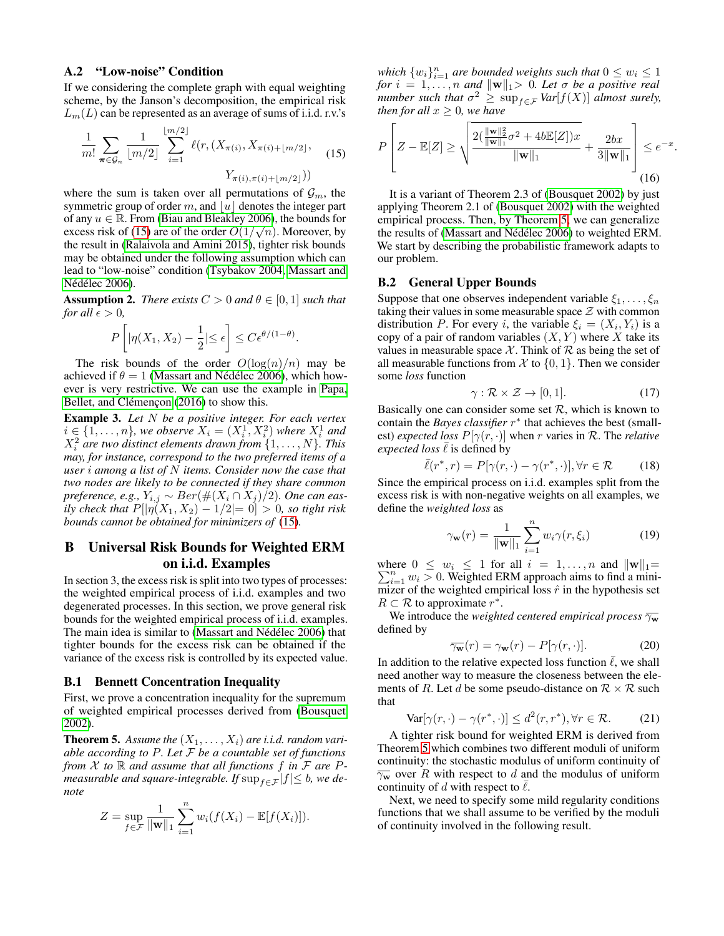#### A.2 "Low-noise" Condition

If we considering the complete graph with equal weighting scheme, by the Janson's decomposition, the empirical risk  $L_m(L)$  can be represented as an average of sums of i.i.d. r.v.'s

<span id="page-9-1"></span>
$$
\frac{1}{m!} \sum_{\pi \in \mathcal{G}_n} \frac{1}{\lfloor m/2 \rfloor} \sum_{i=1}^{\lfloor m/2 \rfloor} \ell(r, (X_{\pi(i)}, X_{\pi(i)+\lfloor m/2 \rfloor}, X_{\pi(i),\pi(i)+\lfloor m/2 \rfloor})) \tag{15}
$$

where the sum is taken over all permutations of  $\mathcal{G}_m$ , the symmetric group of order  $m$ , and  $\lfloor u \rfloor$  denotes the integer part of any  $u \in \mathbb{R}$ . From [\(Biau and Bleakley 2006\)](#page-7-12), the bounds for excess risk of [\(15\)](#page-9-1) are of the order  $O(1/\sqrt{n})$ . Moreover, by the result in [\(Ralaivola and Amini 2015\)](#page-7-14), tighter risk bounds may be obtained under the following assumption which can lead to "low-noise" condition [\(Tsybakov 2004,](#page-8-7) [Massart and](#page-7-18) Nédélec 2006).

**Assumption 2.** *There exists*  $C > 0$  *and*  $\theta \in [0, 1]$  *such that for all*  $\epsilon > 0$ *,* 

$$
P\left[|\eta(X_1, X_2) - \frac{1}{2}| \le \epsilon\right] \le C\epsilon^{\theta/(1-\theta)}
$$

.

The risk bounds of the order  $O(\log(n)/n)$  may be achieved if  $\theta = 1$  (Massart and Nédélec 2006), which however is very restrictive. We can use the example in [Papa,](#page-7-8) Bellet, and Clémencon [\(2016\)](#page-7-8) to show this.

Example 3. *Let* N *be a positive integer. For each vertex*  $i \in \{1, \ldots, n\}$ , we observe  $X_i = (X_i^1, X_i^2)$  where  $X_i^1$  and  $X_i^2$  are two distinct elements drawn from  $\{1,\ldots,N\}$ . This *may, for instance, correspond to the two preferred items of a user* i *among a list of* N *items. Consider now the case that two nodes are likely to be connected if they share common preference, e.g.,*  $Y_{i,j} \sim Ber(\#(X_i \cap X_j)/2)$ *. One can easily check that*  $P[|\eta(X_1, X_2) - 1/2| = 0] > 0$ *, so tight risk bounds cannot be obtained for minimizers of* [\(15\)](#page-9-1)*.*

#### <span id="page-9-0"></span>B Universal Risk Bounds for Weighted ERM on i.i.d. Examples

In section 3, the excess risk is split into two types of processes: the weighted empirical process of i.i.d. examples and two degenerated processes. In this section, we prove general risk bounds for the weighted empirical process of i.i.d. examples. The main idea is similar to (Massart and Nédélec 2006) that tighter bounds for the excess risk can be obtained if the variance of the excess risk is controlled by its expected value.

#### B.1 Bennett Concentration Inequality

First, we prove a concentration inequality for the supremum of weighted empirical processes derived from [\(Bousquet](#page-7-28) [2002\)](#page-7-28).

<span id="page-9-2"></span>**Theorem 5.** Assume the  $(X_1, \ldots, X_i)$  are i.i.d. random vari*able according to* P*. Let* F *be a countable set of functions from*  $X$  *to*  $\mathbb R$  *and assume that all functions*  $f$  *in*  $F$  *are*  $P$ *measurable and square-integrable. If*  $\sup_{f \in \mathcal{F}} |f| \leq b$ *, we denote*

$$
Z = \sup_{f \in \mathcal{F}} \frac{1}{\|\mathbf{w}\|_1} \sum_{i=1}^n w_i (f(X_i) - \mathbb{E}[f(X_i)]).
$$

which  $\{w_i\}_{i=1}^n$  are bounded weights such that  $0 \leq w_i \leq 1$ *for*  $i = 1, \ldots, n$  *and*  $\|\mathbf{w}\|_1 > 0$ *. Let*  $\sigma$  *be a positive real number such that*  $\sigma^2 \geq \sup_{f \in \mathcal{F}} Var[f(X)]$  *almost surely, then for all*  $x \geq 0$ *, we have* 

$$
P\left[Z - \mathbb{E}[Z] \ge \sqrt{\frac{2(\frac{\|\mathbf{w}\|_2^2}{\|\mathbf{w}\|_1}\sigma^2 + 4b\mathbb{E}[Z])x}{\|\mathbf{w}\|_1}} + \frac{2bx}{3\|\mathbf{w}\|_1}\right] \le e^{-x}.
$$
\n(16)

It is a variant of Theorem 2.3 of [\(Bousquet 2002\)](#page-7-28) by just applying Theorem 2.1 of [\(Bousquet 2002\)](#page-7-28) with the weighted empirical process. Then, by Theorem [5,](#page-9-2) we can generalize the results of (Massart and Nédélec 2006) to weighted ERM. We start by describing the probabilistic framework adapts to our problem.

#### B.2 General Upper Bounds

Suppose that one observes independent variable  $\xi_1, \ldots, \xi_n$ taking their values in some measurable space  $\mathcal Z$  with common distribution P. For every *i*, the variable  $\xi_i = (X_i, Y_i)$  is a copy of a pair of random variables  $(X, Y)$  where X take its values in measurable space  $\mathcal X$ . Think of  $\mathcal R$  as being the set of all measurable functions from  $\mathcal X$  to  $\{0, 1\}$ . Then we consider some *loss* function

$$
\gamma: \mathcal{R} \times \mathcal{Z} \to [0, 1]. \tag{17}
$$

Basically one can consider some set  $R$ , which is known to contain the *Bayes classifier* r ∗ that achieves the best (smallest) *expected loss*  $P[\gamma(r, \cdot)]$  when r varies in R. The *relative expected loss*  $\ell$  is defined by

$$
\bar{\ell}(r^*, r) = P[\gamma(r, \cdot) - \gamma(r^*, \cdot)], \forall r \in \mathcal{R} \tag{18}
$$

Since the empirical process on i.i.d. examples split from the excess risk is with non-negative weights on all examples, we define the *weighted loss* as

$$
\gamma_{\mathbf{w}}(r) = \frac{1}{\|\mathbf{w}\|_1} \sum_{i=1}^{n} w_i \gamma(r, \xi_i)
$$
 (19)

where P here  $0 \le w_i \le 1$  for all  $i = 1, ..., n$  and  $||\mathbf{w}||_1 =$ <br> $\sum_{i=1}^{n} w_i > 0$ . Weighted ERM approach aims to find a minimizer of the weighted empirical loss  $\hat{r}$  in the hypothesis set  $R \subset \mathcal{R}$  to approximate  $r^*$ .

We introduce the *weighted centered empirical process*  $\overline{\gamma_w}$ defined by

$$
\overline{\gamma_{\mathbf{w}}}(r) = \gamma_{\mathbf{w}}(r) - P[\gamma(r, \cdot)]. \tag{20}
$$

In addition to the relative expected loss function  $\overline{\ell}$ , we shall need another way to measure the closeness between the elements of R. Let d be some pseudo-distance on  $\mathcal{R} \times \mathcal{R}$  such that

<span id="page-9-3"></span>
$$
\text{Var}[\gamma(r,\cdot) - \gamma(r^*,\cdot)] \le d^2(r,r^*), \forall r \in \mathcal{R}.\tag{21}
$$

A tighter risk bound for weighted ERM is derived from Theorem [5](#page-9-2) which combines two different moduli of uniform continuity: the stochastic modulus of uniform continuity of  $\overline{\gamma_w}$  over R with respect to d and the modulus of uniform continuity of d with respect to  $\ell$ .

Next, we need to specify some mild regularity conditions functions that we shall assume to be verified by the moduli of continuity involved in the following result.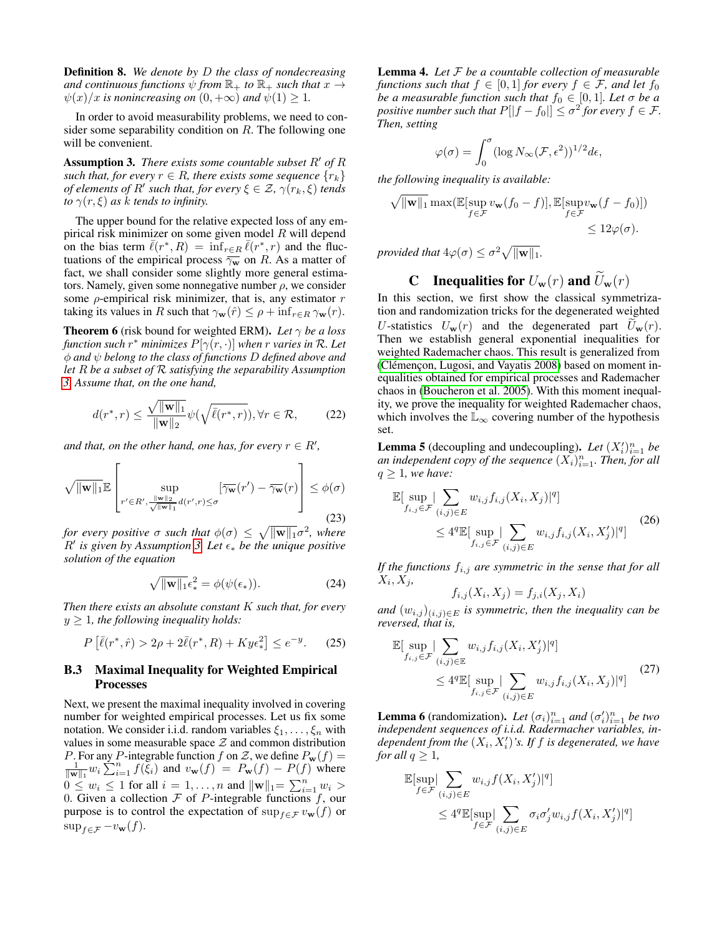Definition 8. *We denote by* D *the class of nondecreasing and continuous functions*  $\psi$  *from*  $\mathbb{R}_+$  *to*  $\mathbb{R}_+$  *such that*  $x \to$  $\psi(x)/x$  *is nonincreasing on*  $(0, +\infty)$  *and*  $\psi(1) \geq 1$ *.* 

In order to avoid measurability problems, we need to consider some separability condition on  $R$ . The following one will be convenient.

<span id="page-10-1"></span>**Assumption 3.** *There exists some countable subset*  $R'$  *of*  $R$ *such that, for every*  $r \in R$ *, there exists some sequence*  $\{r_k\}$ *of elements of*  $R'$  *such that, for every*  $\xi \in \mathcal{Z}$ ,  $\gamma(r_k, \xi)$  *tends to*  $\gamma(r,\xi)$  *as k tends to infinity.* 

The upper bound for the relative expected loss of any empirical risk minimizer on some given model  $R$  will depend on the bias term  $\bar{\ell}(r^*, R) = \inf_{r \in R} \bar{\ell}(r^*, r)$  and the fluctuations of the empirical process  $\overline{\gamma_w}$  on R. As a matter of fact, we shall consider some slightly more general estimators. Namely, given some nonnegative number  $\rho$ , we consider some  $\rho$ -empirical risk minimizer, that is, any estimator  $r$ taking its values in R such that  $\gamma_{\mathbf{w}}(\hat{r}) \leq \rho + \inf_{r \in R} \gamma_{\mathbf{w}}(r)$ .

<span id="page-10-5"></span>**Theorem 6** (risk bound for weighted ERM). *Let*  $\gamma$  *be a loss function such* r <sup>∗</sup> *minimizes* P[γ(r, ·)] *when* r *varies in* R*. Let* φ *and* ψ *belong to the class of functions* D *defined above and let* R *be a subset of* R *satisfying the separability Assumption [3.](#page-10-1) Assume that, on the one hand,*

<span id="page-10-6"></span>
$$
d(r^*,r) \le \frac{\sqrt{\|\mathbf{w}\|_1}}{\|\mathbf{w}\|_2} \psi(\sqrt{\bar{\ell}(r^*,r)}), \forall r \in \mathcal{R},
$$
 (22)

and that, on the other hand, one has, for every  $r \in R'$ ,

<span id="page-10-7"></span>
$$
\sqrt{\|\mathbf{w}\|_{1}} \mathbb{E}\left[\sup_{r' \in R', \frac{\|\mathbf{w}\|_{2}}{\sqrt{\|\mathbf{w}\|_{1}}} d(r', r) \leq \sigma} [\overline{\gamma_{\mathbf{w}}}(r') - \overline{\gamma_{\mathbf{w}}}(r)] \leq \phi(\sigma) \right]
$$
(23)

*for every positive*  $\sigma$  *such that*  $\phi(\sigma) \leq \sqrt{\|\mathbf{w}\|_1} \sigma^2$ , where  $R'$  is given by Assumption [3.](#page-10-1) Let  $\epsilon_*$  be the unique positive *solution of the equation*

<span id="page-10-8"></span>
$$
\sqrt{\|\mathbf{w}\|_1}\epsilon_*^2 = \phi(\psi(\epsilon_*)).
$$
\n(24)

*Then there exists an absolute constant* K *such that, for every*  $y \geq 1$ , the following inequality holds:

$$
P\left[\bar{\ell}(r^*,\hat{r}) > 2\rho + 2\bar{\ell}(r^*,R) + Ky\epsilon_*^2\right] \le e^{-y}.\tag{25}
$$

#### B.3 Maximal Inequality for Weighted Empirical Processes

Next, we present the maximal inequality involved in covering number for weighted empirical processes. Let us fix some notation. We consider i.i.d. random variables  $\xi_1, \ldots, \xi_n$  with values in some measurable space  $Z$  and common distribution P. For any P-integrable function f on Z, we define  $P_w(f)$  =  $\frac{1}{\|\mathbf{w}\|_1} w_i \sum_{i=1}^n f(\xi_i)$  and  $v_{\mathbf{w}}(f) = P_{\mathbf{w}}(f) - P(f)$  where  $0 \leq w_i \leq 1$  for all  $i = 1, \ldots, n$  and  $\|\mathbf{w}\|_1 = \sum_{i=1}^n w_i >$ 0. Given a collection  $F$  of P-integrable functions  $f$ , our purpose is to control the expectation of  $\sup_{f \in \mathcal{F}} v_{\mathbf{w}}(f)$  or  $\sup_{f \in \mathcal{F}} -v_{\mathbf{w}}(f).$ 

<span id="page-10-4"></span>Lemma 4. *Let* F *be a countable collection of measurable functions such that*  $f \in [0, 1]$  *for every*  $f \in \mathcal{F}$ *, and let*  $f_0$ *be a measurable function such that*  $f_0 \in [0, 1]$ *. Let*  $\sigma$  *be a positive number such that*  $P[|f - f_0|] \le \sigma^2$  for every  $f \in \mathcal{F}$ . *Then, setting*

$$
\varphi(\sigma)=\int_0^\sigma (\log N_\infty(\mathcal{F},\epsilon^2))^{1/2}d\epsilon,
$$

*the following inequality is available:*

$$
\sqrt{\|\mathbf{w}\|_1} \max(\mathbb{E}[\sup_{f \in \mathcal{F}} v_{\mathbf{w}}(f_0 - f)], \mathbb{E}[\sup_{f \in \mathcal{F}} v_{\mathbf{w}}(f - f_0)])
$$
  

$$
\leq 12\varphi(\sigma).
$$

*provided that*  $4\varphi(\sigma) \leq \sigma^2 \sqrt{\|\mathbf{w}\|_1}.$ 

## **C** Inequalities for  $U_{\mathbf{w}}(r)$  and  $\widetilde{U}_{\mathbf{w}}(r)$

<span id="page-10-0"></span>In this section, we first show the classical symmetrization and randomization tricks for the degenerated weighted U-statistics  $U_{\mathbf{w}}(r)$  and the degenerated part  $U_{\mathbf{w}}(r)$ . Then we establish general exponential inequalities for weighted Rademacher chaos. This result is generalized from (Clémençon, Lugosi, and Vayatis 2008) based on moment inequalities obtained for empirical processes and Rademacher chaos in [\(Boucheron et al.](#page-7-23) 2005). With this moment inequality, we prove the inequality for weighted Rademacher chaos, which involves the  $\mathbb{L}_{\infty}$  covering number of the hypothesis set.

<span id="page-10-2"></span>**Lemma 5** (decoupling and undecoupling). Let  $(X_i')_{i=1}^n$  be an independent copy of the sequence  $(X_i)_{i=1}^n$ . Then, for all  $q \geq 1$ *, we have:* 

$$
\mathbb{E}[\sup_{f_{i,j}\in\mathcal{F}}|\sum_{(i,j)\in E}w_{i,j}f_{i,j}(X_i,X_j)|^q]
$$
\n
$$
\leq 4^q \mathbb{E}[\sup_{f_{i,j}\in\mathcal{F}}|\sum_{(i,j)\in E}w_{i,j}f_{i,j}(X_i,X_j')|^q] \tag{26}
$$

*If the functions* fi,j *are symmetric in the sense that for all*  $X_i, X_j,$ 

$$
f_{i,j}(X_i, X_j) = f_{j,i}(X_j, X_i)
$$

*and*  $(w_{i,j})_{(i,j)\in E}$  *is symmetric, then the inequality can be reversed, that is,*

$$
\mathbb{E}[\sup_{f_{i,j}\in\mathcal{F}}|\sum_{(i,j)\in\mathbb{E}}w_{i,j}f_{i,j}(X_i,X_j')|^q]
$$
\n
$$
\leq 4^q \mathbb{E}[\sup_{f_{i,j}\in\mathcal{F}}|\sum_{(i,j)\in E}w_{i,j}f_{i,j}(X_i,X_j)|^q] \tag{27}
$$

<span id="page-10-3"></span>**Lemma 6** (randomization). Let  $(\sigma_i)_{i=1}^n$  and  $(\sigma_i')_{i=1}^n$  be two *independent sequences of i.i.d. Radermacher variables, in*dependent from the  $(X_i, X'_i)$ 's. If f is degenerated, we have *for all*  $q \geq 1$ *,* 

$$
\mathbb{E}[\sup_{f \in \mathcal{F}} \Big| \sum_{(i,j) \in E} w_{i,j} f(X_i, X'_j)|^q]
$$
  
 
$$
\leq 4^q \mathbb{E}[\sup_{f \in \mathcal{F}} \Big| \sum_{(i,j) \in E} \sigma_i \sigma'_j w_{i,j} f(X_i, X'_j)|^q]
$$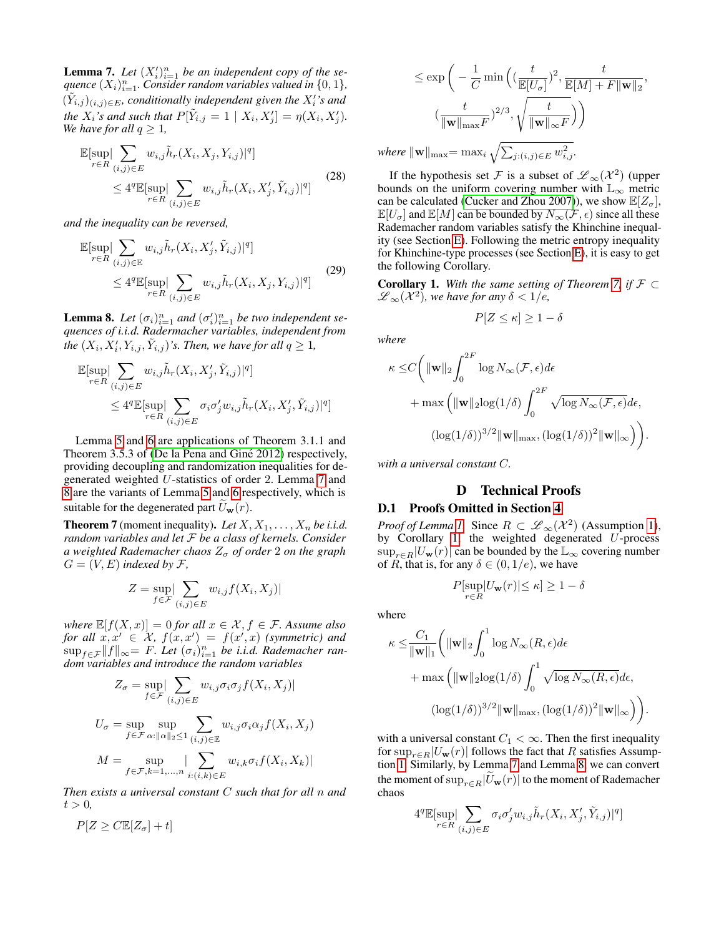<span id="page-11-1"></span>**Lemma 7.** Let  $(X_i')_{i=1}^n$  be an independent copy of the sequence  $(X_i)_{i=1}^n$ . Consider random variables valued in  $\{0,1\}$ ,  $(\tilde{Y}_{i,j})_{(i,j)\in E}$ , conditionally independent given the  $X_i'$ 's and *the*  $X_i$ 's and such that  $P[\tilde{Y}_{i,j} = 1 \mid X_i, X'_j] = \eta(X_i, X'_j)$ . *We have for all*  $q \geq 1$ *,* 

<span id="page-11-5"></span>
$$
\mathbb{E}[\sup_{r \in R} |\sum_{(i,j) \in E} w_{i,j} \tilde{h}_r(X_i, X_j, Y_{i,j})|^q] \leq 4^q \mathbb{E}[\sup_{r \in R} |\sum_{(i,j) \in E} w_{i,j} \tilde{h}_r(X_i, X'_j, \tilde{Y}_{i,j})|^q]
$$
(28)

*and the inequality can be reversed,*

<span id="page-11-6"></span>
$$
\mathbb{E}[\sup_{r \in R} \left| \sum_{(i,j) \in \mathbb{E}} w_{i,j} \tilde{h}_r(X_i, X'_j, \tilde{Y}_{i,j}) \right|^q] \leq 4^q \mathbb{E}[\sup_{r \in R} \left| \sum_{(i,j) \in E} w_{i,j} \tilde{h}_r(X_i, X_j, Y_{i,j}) \right|^q] \tag{29}
$$

<span id="page-11-2"></span>**Lemma 8.** Let  $(\sigma_i)_{i=1}^n$  and  $(\sigma_i')_{i=1}^n$  be two independent se*quences of i.i.d. Radermacher variables, independent from the*  $(X_i, X'_i, Y_{i,j}, \tilde{Y}_{i,j})$ 's. Then, we have for all  $q \geq 1$ ,

$$
\mathbb{E}[\sup_{r \in R} \sum_{(i,j) \in E} w_{i,j} \tilde{h}_r(X_i, X'_j, \tilde{Y}_{i,j})|^q]
$$
  
 
$$
\leq 4^q \mathbb{E}[\sup_{r \in R} \sum_{(i,j) \in E} \sigma_i \sigma'_j w_{i,j} \tilde{h}_r(X_i, X'_j, \tilde{Y}_{i,j})|^q]
$$

Lemma [5](#page-10-2) and [6](#page-10-3) are applications of Theorem 3.1.1 and Theorem 3.5.3 of (De la Pena and Giné 2012) respectively, providing decoupling and randomization inequalities for degenerated weighted U-statistics of order 2. Lemma [7](#page-11-1) and [8](#page-11-2) are the variants of Lemma [5](#page-10-2) and [6](#page-10-3) respectively, which is suitable for the degenerated part  $\tilde{U}_{\mathbf{w}}(r)$ .

<span id="page-11-3"></span>**Theorem 7** (moment inequality). Let  $X, X_1, \ldots, X_n$  be i.i.d. *random variables and let* F *be a class of kernels. Consider a* weighted Rademacher chaos  $Z_{\sigma}$  of order 2 on the graph  $G = (V, E)$  *indexed by F*,

$$
Z = \sup_{f \in \mathcal{F}} \left| \sum_{(i,j) \in E} w_{i,j} f(X_i, X_j) \right|
$$

*where*  $\mathbb{E}[f(X,x)] = 0$  *for all*  $x \in \mathcal{X}, f \in \mathcal{F}$ . Assume also  $for \ all \ x, x' \in [\mathcal{X}, f(x, x') = f(x', x) \ (symmetric) \ and$  $\sup_{f \in \mathcal{F}} \|f\|_{\infty} = F$ . Let  $(\sigma_i)_{i=1}^n$  be i.i.d. Rademacher ran*dom variables and introduce the random variables*

$$
Z_{\sigma} = \sup_{f \in \mathcal{F}} \left| \sum_{(i,j) \in E} w_{i,j} \sigma_i \sigma_j f(X_i, X_j) \right|
$$
  

$$
U_{\sigma} = \sup_{f \in \mathcal{F}} \sup_{\alpha : ||\alpha||_2 \le 1} \sum_{(i,j) \in \mathbb{E}} w_{i,j} \sigma_i \alpha_j f(X_i, X_j)
$$
  

$$
M = \sup_{f \in \mathcal{F}, k=1,...,n} \left| \sum_{i:(i,k) \in E} w_{i,k} \sigma_i f(X_i, X_k) \right|
$$

*Then exists a universal constant* C *such that for all* n *and*  $t > 0$ ,

$$
P[Z \geq C \mathbb{E}[Z_{\sigma}] + t]
$$

$$
\leq \exp\bigg(-\frac{1}{C}\min\Big(\big(\frac{t}{\mathbb{E}[U_{\sigma}]}\big)^{2}, \frac{t}{\mathbb{E}[M] + F\|\mathbf{w}\|_{2}}, \frac{t}{\|\mathbf{w}\|_{\mathbf{w}\mathbf{x}F}}\big)^{2/3}, \sqrt{\frac{t}{\|\mathbf{w}\|_{\infty}F}}\bigg)\bigg)
$$
\n
$$
\leq \exp\bigg(-\frac{t}{\|\mathbf{w}\|_{\mathbf{w}\mathbf{x}F}}\big)^{2/3}, \sqrt{\frac{t}{\|\mathbf{w}\|_{\infty}F}}\bigg)
$$

 $where \|\mathbf{w}\|_{\text{max}} = \max_{i} \sqrt{\sum_{j:(i,j)\in E} w_{i,j}^2}$ .

If the hypothesis set F is a subset of  $\mathscr{L}_{\infty}(\mathcal{X}^2)$  (upper bounds on the uniform covering number with  $\mathbb{L}_{\infty}$  metric can be calculated [\(Cucker and Zhou 2007\)](#page-7-17)), we show  $\mathbb{E}[Z_{\sigma}],$  $\mathbb{E}[U_{\sigma}]$  and  $\mathbb{E}[M]$  can be bounded by  $N_{\infty}(\mathcal{F}, \epsilon)$  since all these Rademacher random variables satisfy the Khinchine inequality (see Section [E\)](#page-18-0). Following the metric entropy inequality for Khinchine-type processes (see Section [E\)](#page-18-0), it is easy to get the following Corollary.

<span id="page-11-4"></span>**Corollary 1.** With the same setting of Theorem [7,](#page-11-3) if  $\mathcal{F} \subset$  $\mathscr{L}_{\infty}(\mathcal{X}^{2})$ , we have for any  $\delta < 1/e$ ,

$$
P[Z \le \kappa] \ge 1 - \delta
$$

*where*

$$
\kappa \leq C \bigg( \|\mathbf{w}\|_2 \int_0^{2F} \log N_{\infty}(\mathcal{F}, \epsilon) d\epsilon + \max \left( \|\mathbf{w}\|_2 \log(1/\delta) \int_0^{2F} \sqrt{\log N_{\infty}(\mathcal{F}, \epsilon)} d\epsilon, \right. (\log(1/\delta))^{3/2} \|\mathbf{w}\|_{\max}, (\log(1/\delta))^2 \|\mathbf{w}\|_{\infty} \bigg) \bigg).
$$

<span id="page-11-0"></span>*with a universal constant* C*.*

# D Technical Proofs

## D.1 Proofs Omitted in Section [4](#page-2-3)

*Proof of Lemma [1.](#page-3-0)* Since  $R \subset \mathscr{L}_{\infty}(\mathcal{X}^2)$  (Assumption [1\)](#page-3-1), by Corollary [1,](#page-11-4) the weighted degenerated  $U$ -process  $\sup_{r \in R} |U_{\mathbf{w}}(r)|$  can be bounded by the  $\mathbb{L}_{\infty}$  covering number of R, that is, for any  $\delta \in (0, 1/e)$ , we have

$$
P[\sup_{r \in R} |U_{\mathbf{w}}(r)| \le \kappa] \ge 1 - \delta
$$

where

$$
\kappa \leq \frac{C_1}{\|\mathbf{w}\|_1} \left( \|\mathbf{w}\|_2 \int_0^1 \log N_\infty(R, \epsilon) d\epsilon + \max \left( \|\mathbf{w}\|_2 \log(1/\delta) \int_0^1 \sqrt{\log N_\infty(R, \epsilon)} d\epsilon, \right. (\log(1/\delta))^{3/2} \|\mathbf{w}\|_{\max}, (\log(1/\delta))^2 \|\mathbf{w}\|_\infty \right) \right)
$$

.

with a universal constant  $C_1 < \infty$ . Then the first inequality for  $\sup_{r \in R} |U_{\mathbf{w}}(r)|$  follows the fact that R satisfies Assumption [1.](#page-3-1) Similarly, by Lemma [7](#page-11-1) and Lemma [8,](#page-11-2) we can convert the moment of  $\sup_{r\in R}|\widetilde{U}_{\mathbf{w}}(r)|$  to the moment of Rademacher chaos

$$
4^q\mathbb{E}[\sup_{r\in R}|\sum_{(i,j)\in E}\sigma_i\sigma'_j w_{i,j}\tilde{h}_r(X_i,X'_j,\tilde{Y}_{i,j})|^q]
$$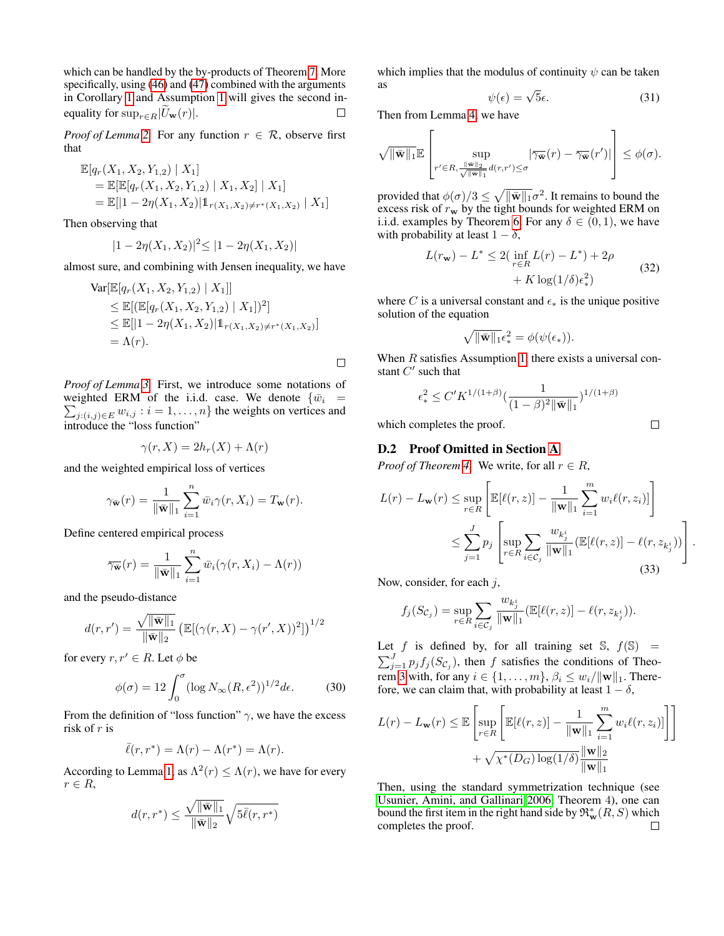which can be handled by the by-products of Theorem [7.](#page-11-3) More specifically, using  $(46)$  and  $(47)$  combined with the arguments in Corollary [1](#page-11-4) and Assumption [1](#page-3-1) will gives the second inequality for  $\sup_{r \in B}|\tilde{U}_{\mathbf{w}}(r)|$ .  $\Box$ 

*Proof of Lemma* [2.](#page-4-0) For any function  $r \in \mathcal{R}$ , observe first that

$$
\mathbb{E}[q_r(X_1, X_2, Y_{1,2}) | X_1]
$$
  
=  $\mathbb{E}[\mathbb{E}[q_r(X_1, X_2, Y_{1,2}) | X_1, X_2] | X_1]$   
=  $\mathbb{E}[|1 - 2\eta(X_1, X_2)|1_{r(X_1, X_2) \neq r^*(X_1, X_2)} | X_1]$ 

Then observing that

$$
|1 - 2\eta(X_1, X_2)|^2 \le |1 - 2\eta(X_1, X_2)|
$$

almost sure, and combining with Jensen inequality, we have

$$
\operatorname{Var}[\mathbb{E}[q_r(X_1, X_2, Y_{1,2}) | X_1]]
$$
  
\n
$$
\leq \mathbb{E}[(\mathbb{E}[q_r(X_1, X_2, Y_{1,2}) | X_1])^2]
$$
  
\n
$$
\leq \mathbb{E}[|1 - 2\eta(X_1, X_2)|1_{r(X_1, X_2) \neq r^*(X_1, X_2)}]
$$
  
\n
$$
= \Lambda(r).
$$

*Proof of Lemma [3.](#page-4-1)* First, we introduce some notations of weighted ERM of the i.i.d. case. We denote  $\{\bar{w}_i =$  $\sum_{j:(i,j)\in E} w_{i,j}$ :  $i = 1, ..., n$ } the weights on vertices and introduce the "loss function"

$$
\gamma(r, X) = 2h_r(X) + \Lambda(r)
$$

and the weighted empirical loss of vertices

$$
\gamma_{\bar{\mathbf{w}}}(r) = \frac{1}{\|\bar{\mathbf{w}}\|_1} \sum_{i=1}^n \bar{w}_i \gamma(r, X_i) = T_{\mathbf{w}}(r).
$$

Define centered empirical process

$$
\overline{\gamma_{\bar{\mathbf{w}}}}(r) = \frac{1}{\|\bar{\mathbf{w}}\|_1} \sum_{i=1}^n \bar{w}_i(\gamma(r, X_i) - \Lambda(r))
$$

and the pseudo-distance

$$
d(r,r') = \frac{\sqrt{\|\bar{\mathbf{w}}\|_1}}{\|\bar{\mathbf{w}}\|_2} \left( \mathbb{E}[(\gamma(r,X) - \gamma(r',X))^2] \right)^{1/2}
$$

for every  $r, r' \in R$ . Let  $\phi$  be

$$
\phi(\sigma) = 12 \int_0^{\sigma} (\log N_{\infty}(R, \epsilon^2))^{1/2} d\epsilon.
$$
 (30)

From the definition of "loss function"  $\gamma$ , we have the excess risk of r is

$$
\bar{\ell}(r,r^*) = \Lambda(r) - \Lambda(r^*) = \Lambda(r).
$$

According to Lemma [1,](#page-3-0) as  $\Lambda^2(r) \leq \Lambda(r)$ , we have for every  $r \in R$ ,

$$
d(r,r^*) \leq \frac{\sqrt{\|\bar{\mathbf{w}}\|_1}}{\|\bar{\mathbf{w}}\|_2} \sqrt{5\bar{\ell}(r,r^*)}
$$

which implies that the modulus of continuity  $\psi$  can be taken as

$$
\psi(\epsilon) = \sqrt{5}\epsilon. \tag{31}
$$

Then from Lemma [4,](#page-10-4) we have

 $\Gamma$ 

$$
\sqrt{\|\bar{\mathbf{w}}\|_1} \mathbb{E}\left[\sup_{r' \in R, \frac{\|\bar{\mathbf{w}}\|_2}{\sqrt{\|\bar{\mathbf{w}}\|_1}} d(r,r') \leq \sigma} |\overline{\gamma_{\bar{\mathbf{w}}}}(r) - \overline{\gamma_{\bar{\mathbf{w}}}}(r')|\right] \leq \phi(\sigma).
$$

provided that  $\phi(\sigma)/3 \leq \sqrt{\|\bar{\mathbf{w}}\|_1} \sigma^2$ . It remains to bound the excess risk of  $r_w$  by the tight bounds for weighted ERM on i.i.d. examples by Theorem [6.](#page-10-5) For any  $\delta \in (0,1)$ , we have with probability at least  $1 - \delta$ ,

$$
L(r_{\mathbf{w}}) - L^* \le 2\left(\inf_{r \in R} L(r) - L^*\right) + 2\rho
$$
  
+  $K \log(1/\delta) \epsilon_*^2$  (32)

where C is a universal constant and  $\epsilon_*$  is the unique positive solution of the equation

$$
\sqrt{\|\bar{\mathbf{w}}\|_1}\epsilon_*^2 = \phi(\psi(\epsilon_*)).
$$

When  $R$  satisfies Assumption [1,](#page-3-1) there exists a universal constant  $C'$  such that

$$
\epsilon_*^2 \le C' K^{1/(1+\beta)} \left( \frac{1}{(1-\beta)^2 \|\bar{\mathbf{w}}\|_1} \right)^{1/(1+\beta)}
$$

 $\Box$ 

which completes the proof.

 $\Box$ 

#### D.2 Proof Omitted in Section [A](#page-8-5)

*Proof of Theorem [4.](#page-8-8)* We write, for all  $r \in R$ ,

$$
L(r) - L_{\mathbf{w}}(r) \le \sup_{r \in R} \left[ \mathbb{E}[\ell(r, z)] - \frac{1}{\|\mathbf{w}\|_1} \sum_{i=1}^m w_i \ell(r, z_i)] \right]
$$
  

$$
\le \sum_{j=1}^J p_j \left[ \sup_{r \in R} \sum_{i \in C_j} \frac{w_{k_j^i}}{\|\mathbf{w}\|_1} (\mathbb{E}[\ell(r, z)] - \ell(r, z_{k_j^i})) \right].
$$
(33)

Now, consider, for each  $j$ ,

$$
f_j(S_{\mathcal{C}_j}) = \sup_{r \in R} \sum_{i \in \mathcal{C}_j} \frac{w_{k_j^i}}{\|\mathbf{w}\|_1} (\mathbb{E}[\ell(r, z)] - \ell(r, z_{k_j^i})).
$$

Let f is defined by, for all training set  $\mathbb{S}$ ,  $f(\mathbb{S})$  =  $\sum_{j=1}^{J} p_j f_j(S_{\mathcal{C}_j})$ , then f satisfies the conditions of Theo-rem [3](#page-8-6) with, for any  $i \in \{1, \ldots, m\}$ ,  $\beta_i \leq w_i / ||\mathbf{w}||_1$ . Therefore, we can claim that, with probability at least  $1 - \delta$ ,

$$
L(r) - L_{\mathbf{w}}(r) \leq \mathbb{E}\left[\sup_{r \in R} \left[\mathbb{E}[\ell(r, z)] - \frac{1}{\|\mathbf{w}\|_1} \sum_{i=1}^m w_i \ell(r, z_i)]\right]\right]
$$

$$
+ \sqrt{\chi^*(D_G) \log(1/\delta)} \frac{\|\mathbf{w}\|_2}{\|\mathbf{w}\|_1}
$$

Then, using the standard symmetrization technique (see [Usunier, Amini, and Gallinari 2006,](#page-8-0) Theorem 4), one can bound the first item in the right hand side by  $\mathfrak{R}^*_{\mathbf{w}}(R,S)$  which completes the proof.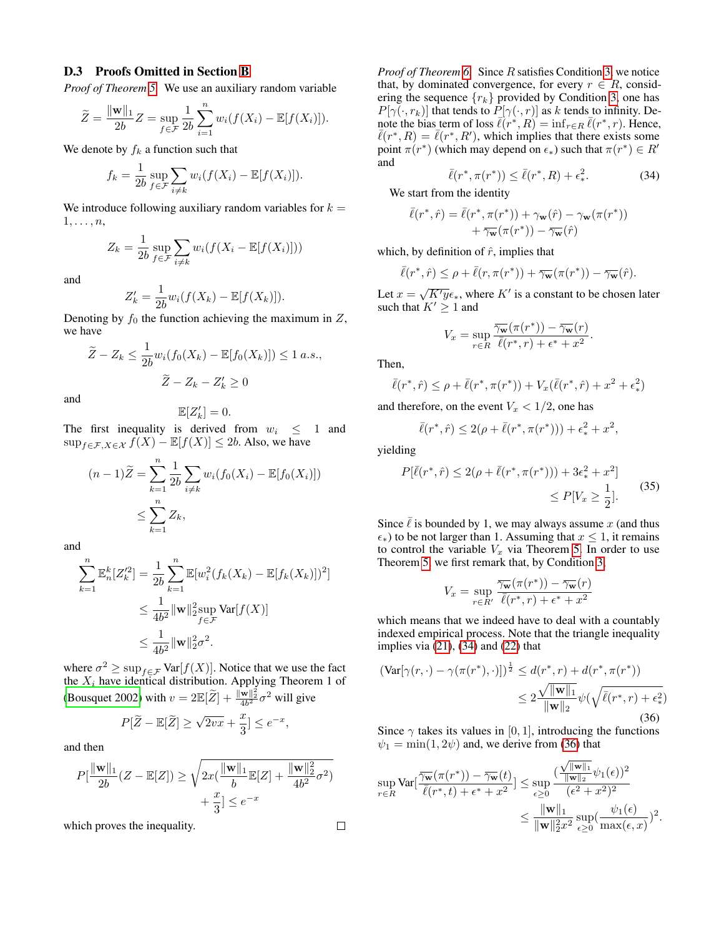#### D.3 Proofs Omitted in Section [B](#page-9-0)

*Proof of Theorem [5.](#page-9-2)* We use an auxiliary random variable

$$
\widetilde{Z} = \frac{\|\mathbf{w}\|_1}{2b}Z = \sup_{f \in \mathcal{F}} \frac{1}{2b} \sum_{i=1}^n w_i (f(X_i) - \mathbb{E}[f(X_i)]).
$$

We denote by  $f_k$  a function such that

$$
f_k = \frac{1}{2b} \sup_{f \in \mathcal{F}} \sum_{i \neq k} w_i (f(X_i) - \mathbb{E}[f(X_i)]).
$$

We introduce following auxiliary random variables for  $k =$  $1, \ldots, n$ ,

$$
Z_k = \frac{1}{2b} \sup_{f \in \mathcal{F}} \sum_{i \neq k} w_i (f(X_i - \mathbb{E}[f(X_i)]))
$$

and

$$
Z'_{k} = \frac{1}{2b} w_i (f(X_k) - \mathbb{E}[f(X_k)]).
$$

Denoting by  $f_0$  the function achieving the maximum in  $Z$ , we have

$$
\widetilde{Z} - Z_k \le \frac{1}{2b} w_i (f_0(X_k) - \mathbb{E}[f_0(X_k)]) \le 1 \ a.s.,
$$
  

$$
\widetilde{Z} - Z_k - Z'_k \ge 0
$$

and

$$
\mathbb{E}[Z_k']=0.
$$

The first inequality is derived from  $w_i \leq 1$  and  $\sup_{f \in \mathcal{F}, X \in \mathcal{X}} f(X) - \mathbb{E}[f(X)] \leq 2b$ . Also, we have

$$
(n-1)\widetilde{Z} = \sum_{k=1}^{n} \frac{1}{2b} \sum_{i \neq k} w_i (f_0(X_i) - \mathbb{E}[f_0(X_i)])
$$
  

$$
\leq \sum_{k=1}^{n} Z_k,
$$

and

$$
\sum_{k=1}^{n} \mathbb{E}_{n}^{k}[Z_{k}^{'2}] = \frac{1}{2b} \sum_{k=1}^{n} \mathbb{E}[w_{i}^{2}(f_{k}(X_{k}) - \mathbb{E}[f_{k}(X_{k})])^{2}]
$$
  

$$
\leq \frac{1}{4b^{2}} ||\mathbf{w}||_{2}^{2} \sup_{f \in \mathcal{F}} \text{Var}[f(X)]
$$
  

$$
\leq \frac{1}{4b^{2}} ||\mathbf{w}||_{2}^{2} \sigma^{2}.
$$

where  $\sigma^2 \ge \sup_{f \in \mathcal{F}} \text{Var}[f(X)]$ . Notice that we use the fact the  $X_i$  have identical distribution. Applying Theorem 1 of [\(Bousquet 2002\)](#page-7-28) with  $v = 2 \mathbb{E}[\widetilde{Z}] + \frac{\|\mathbf{w}\|_2^2}{4b^2} \sigma^2$  will give

$$
P[\widetilde{Z} - \mathbb{E}[\widetilde{Z}] \ge \sqrt{2vx} + \frac{x}{3}] \le e^{-x},
$$

and then

$$
P\left[\frac{\|\mathbf{w}\|_1}{2b}(Z - \mathbb{E}[Z]) \ge \sqrt{2x(\frac{\|\mathbf{w}\|_1}{b}\mathbb{E}[Z] + \frac{\|\mathbf{w}\|_2^2}{4b^2}\sigma^2)} + \frac{x}{3}\right] \le e^{-x}
$$

which proves the inequality.

*Proof of Theorem [6.](#page-10-5)* Since R satisfies Condition [3,](#page-10-1) we notice that, by dominated convergence, for every  $r \in R$ , considering the sequence  $\{r_k\}$  provided by Condition [3,](#page-10-1) one has  $P[\gamma(\cdot, r_k)]$  that tends to  $P[\gamma(\cdot, r)]$  as k tends to infinity. Denote the bias term of loss  $\bar{\ell}(r^*, R) = \inf_{r \in R} \bar{\ell}(r^*, r)$ . Hence,  $\bar{\ell}(r^*, R) = \bar{\ell}(r^*, R')$ , which implies that there exists some point  $\pi(r^*)$  (which may depend on  $\epsilon_*$ ) such that  $\pi(r^*) \in R'$ and

<span id="page-13-0"></span>
$$
\bar{\ell}(r^*, \pi(r^*)) \le \bar{\ell}(r^*, R) + \epsilon_*^2.
$$
 (34)

We start from the identity

$$
\bar{\ell}(r^*,\hat{r}) = \bar{\ell}(r^*,\pi(r^*)) + \gamma_{\mathbf{w}}(\hat{r}) - \gamma_{\mathbf{w}}(\pi(r^*)) \\ + \overline{\gamma_{\mathbf{w}}}(\pi(r^*)) - \overline{\gamma_{\mathbf{w}}}(\hat{r})
$$

which, by definition of  $\hat{r}$ , implies that

$$
\bar{\ell}(r^*,\hat{r}) \leq \rho + \bar{\ell}(r,\pi(r^*)) + \overline{\gamma_{\mathbf{w}}}(\pi(r^*)) - \overline{\gamma_{\mathbf{w}}}(\hat{r}).
$$

Let  $x = \sqrt{K'y} \epsilon_*$ , where  $K'$  is a constant to be chosen later such that  $K' \geq 1$  and

$$
V_x = \sup_{r \in R} \frac{\overline{\gamma_{\mathbf{w}}}(\pi(r^*)) - \overline{\gamma_{\mathbf{w}}}(r)}{\overline{\ell}(r^*, r) + \epsilon^* + x^2}.
$$

Then,

$$
\bar{\ell}(r^*, \hat{r}) \leq \rho + \bar{\ell}(r^*, \pi(r^*)) + V_x(\bar{\ell}(r^*, \hat{r}) + x^2 + \epsilon_*^2)
$$

and therefore, on the event  $V_x < 1/2$ , one has

$$
\bar{\ell}(r^*, \hat{r}) \le 2(\rho + \bar{\ell}(r^*, \pi(r^*))) + \epsilon_*^2 + x^2,
$$

yielding

<span id="page-13-2"></span>
$$
P[\bar{\ell}(r^*, \hat{r}) \le 2(\rho + \bar{\ell}(r^*, \pi(r^*))) + 3\epsilon_*^2 + x^2] \le P[V_x \ge \frac{1}{2}].
$$
 (35)

Since  $\ell$  is bounded by 1, we may always assume x (and thus  $\epsilon$ <sup>\*</sup>) to be not larger than 1. Assuming that  $x \le 1$ , it remains to control the variable  $V_x$  via Theorem [5.](#page-9-2) In order to use Theorem [5,](#page-9-2) we first remark that, by Condition [3,](#page-10-1)

$$
V_x = \sup_{r \in R'} \frac{\overline{\gamma_{\mathbf{w}}}(\pi(r^*)) - \overline{\gamma_{\mathbf{w}}}(r)}{\overline{\ell}(r^*, r) + \epsilon^* + x^2}
$$

which means that we indeed have to deal with a countably indexed empirical process. Note that the triangle inequality implies via [\(21\)](#page-9-3), [\(34\)](#page-13-0) and [\(22\)](#page-10-6) that

<span id="page-13-1"></span>
$$
(\text{Var}[\gamma(r,\cdot) - \gamma(\pi(r^*),\cdot)])^{\frac{1}{2}} \leq d(r^*,r) + d(r^*,\pi(r^*))
$$
  

$$
\leq 2 \frac{\sqrt{\|\mathbf{w}\|_1}}{\|\mathbf{w}\|_2} \psi(\sqrt{\bar{\ell}(r^*,r) + \epsilon_*^2})
$$
  
(36)

Since  $\gamma$  takes its values in [0, 1], introducing the functions  $\psi_1 = \min(1, 2\psi)$  and, we derive from [\(36\)](#page-13-1) that

$$
\sup_{r \in R} \text{Var}[\frac{\overline{\gamma_{\mathbf{w}}}(\pi(r^*)) - \overline{\gamma_{\mathbf{w}}}(t)}{\overline{\ell}(r^*, t) + \epsilon^* + x^2}] \leq \sup_{\epsilon \geq 0} \frac{(\frac{\sqrt{\|\mathbf{w}\|_1}}{\|\mathbf{w}\|_2} \psi_1(\epsilon))^2}{(\epsilon^2 + x^2)^2} \leq \frac{\|\mathbf{w}\|_1}{\|\mathbf{w}\|_2^2 x^2} \sup_{\epsilon \geq 0} (\frac{\psi_1(\epsilon)}{\max(\epsilon, x)})^2.
$$

$$
\Box
$$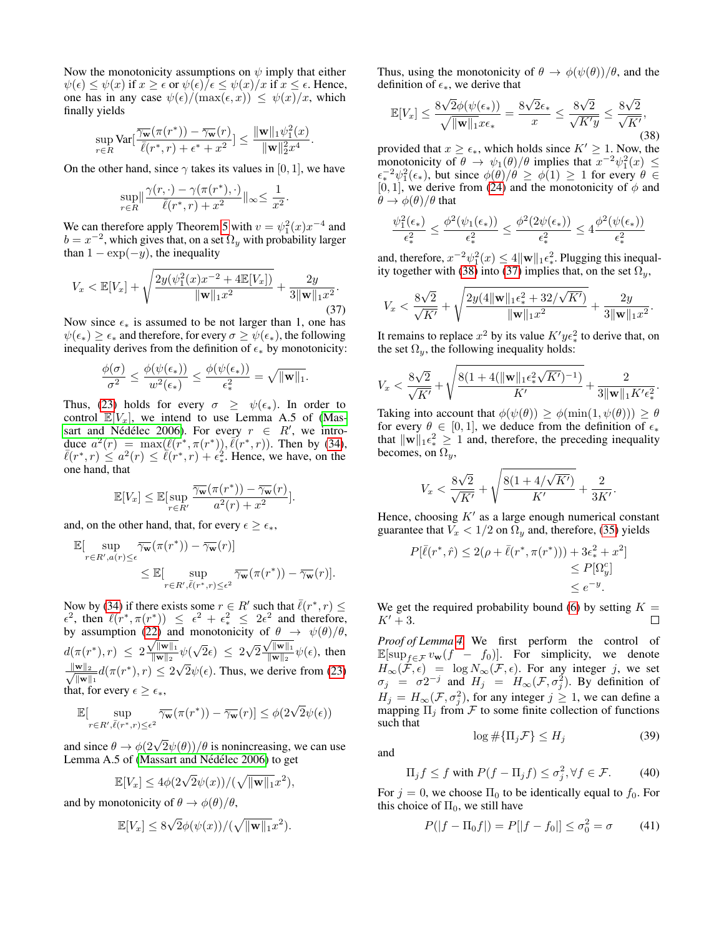Now the monotonicity assumptions on  $\psi$  imply that either  $\psi(\epsilon) \leq \psi(x)$  if  $x \geq \epsilon$  or  $\psi(\epsilon)/\epsilon \leq \psi(x)/x$  if  $x \leq \epsilon$ . Hence, one has in any case  $\psi(\epsilon)/(\max(\epsilon, x)) \leq \psi(x)/x$ , which finally yields

$$
\sup_{r\in R} \text{Var}[\frac{\overline{\gamma_{\mathbf{w}}}(\pi(r^*)) - \overline{\gamma_{\mathbf{w}}}(r)}{\overline{\ell}(r^*, r) + \epsilon^* + x^2}] \le \frac{\|\mathbf{w}\|_1 \psi_1^2(x)}{\|\mathbf{w}\|_2^2 x^4}.
$$

On the other hand, since  $\gamma$  takes its values in [0, 1], we have

$$
\sup_{r\in R}\lVert\frac{\gamma(r,\cdot)-\gamma(\pi(r^*),\cdot)}{\bar{\ell}(r^*,r)+x^2}\rVert_\infty\leq\frac{1}{x^2}.
$$

We can therefore apply Theorem [5](#page-9-2) with  $v = \psi_1^2(x) x^{-4}$  and  $b = x^{-2}$ , which gives that, on a set  $\Omega_y$  with probability larger than  $1 - \exp(-y)$ , the inequality

<span id="page-14-1"></span>
$$
V_x < \mathbb{E}[V_x] + \sqrt{\frac{2y(\psi_1^2(x)x^{-2} + 4\mathbb{E}[V_x])}{\|\mathbf{w}\|_1 x^2}} + \frac{2y}{3\|\mathbf{w}\|_1 x^2}.
$$
\n(37)

Now since  $\epsilon_*$  is assumed to be not larger than 1, one has  $\psi(\epsilon_*) \geq \epsilon_*$  and therefore, for every  $\sigma \geq \psi(\epsilon_*)$ , the following inequality derives from the definition of  $\epsilon_*$  by monotonicity:

$$
\frac{\phi(\sigma)}{\sigma^2} \leq \frac{\phi(\psi(\epsilon_*))}{w^2(\epsilon_*)} \leq \frac{\phi(\psi(\epsilon_*))}{\epsilon_*^2} = \sqrt{\|\mathbf{w}\|_1}.
$$

Thus, [\(23\)](#page-10-7) holds for every  $\sigma \geq \psi(\epsilon_*)$ . In order to control  $\mathbb{E}[V_x]$ , we intend to use Lemma A.5 of [\(Mas](#page-7-18)sart and Nédélec 2006). For every  $r \in R'$ , we introduce  $a^2(r) = \max(\bar{\ell}(r^*, \pi(r^*)), \bar{\ell}(r^*, r))$ . Then by [\(34\)](#page-13-0),  $\overline{\ell}(r^*, r) \le a^2(r) \le \overline{\ell}(r^*, r) + \epsilon_*^2$ . Hence, we have, on the one hand, that

$$
\mathbb{E}[V_x] \leq \mathbb{E}[\sup_{r \in R'} \frac{\overline{\gamma_{\mathbf{w}}}(\pi(r^*)) - \overline{\gamma_{\mathbf{w}}}(r)}{a^2(r) + x^2}].
$$

and, on the other hand, that, for every  $\epsilon \geq \epsilon_*,$ 

$$
\mathbb{E}[\sup_{r \in R', a(r) \leq \epsilon} \overline{\gamma_{\mathbf{w}}}(\pi(r^*)) - \overline{\gamma_{\mathbf{w}}}(r)] \n\leq \mathbb{E}[\sup_{r \in R', \bar{\ell}(r^*, r) \leq \epsilon^2} \overline{\gamma_{\mathbf{w}}}(\pi(r^*)) - \overline{\gamma_{\mathbf{w}}}(r)].
$$

Now by [\(34\)](#page-13-0) if there exists some  $r \in R'$  such that  $\bar{\ell}(r^*, r) \leq$  $\epsilon^2$ , then  $\overline{\ell}(r^*, \pi(r^*)) \leq \epsilon^2 + \epsilon_*^2 \leq 2\epsilon^2$  and therefore, by assumption [\(22\)](#page-10-6) and monotonicity of  $\theta \to \psi(\theta)/\theta$ ,  $d(\pi(r^*), r) \leq 2 \frac{\sqrt{\|w\|_1}}{\|w\|_2}$  $\frac{m}{\|\mathbf{w}\|_2}\psi($ √  $2\epsilon$ )  $\leq 2$ √  $\sqrt{2}\frac{\sqrt{\|\mathbf{w}\|_1}}{\|\mathbf{w}\|_2}$  $\frac{1}{2}\psi(\sqrt{2}\epsilon) \leq 2\sqrt{2} \frac{\sqrt{\|\mathbf{w}\|_1}}{\|\mathbf{w}\|_2} \psi(\epsilon)$ , then  $\frac{\|\mathbf{w}\|_2}{\sqrt{2\pi}}$  $\frac{\|\mathbf{w}\|_2}{\|\mathbf{w}\|_1} d(\pi(r^*), r) \leq 2\sqrt{2}\psi(\epsilon)$ . Thus, we derive from [\(23\)](#page-10-7) that, for every  $\epsilon > \epsilon_*$ ,

$$
\mathbb{E}[\sup_{r \in R', \bar{\ell}(r^*, r) \leq \epsilon^2} \overline{\gamma_{\mathbf{w}}}(\pi(r^*)) - \overline{\gamma_{\mathbf{w}}}(r)] \leq \phi(2\sqrt{2}\psi(\epsilon))
$$

and since  $\theta \to \phi(2\sqrt{2}\psi(\theta))/\theta$  is nonincreasing, we can use Lemma A.5 of (Massart and Nédélec 2006) to get

$$
\mathbb{E}[V_x] \le 4\phi(2\sqrt{2}\psi(x))/(\sqrt{\|\mathbf{w}\|_1}x^2),
$$

and by monotonicity of  $\theta \to \phi(\theta)/\theta$ ,

$$
\mathbb{E}[V_x] \le 8\sqrt{2}\phi(\psi(x))/(\sqrt{\|\mathbf{w}\|_1}x^2).
$$

Thus, using the monotonicity of  $\theta \to \phi(\psi(\theta))/\theta$ , and the definition of  $\epsilon_{*}$ , we derive that

<span id="page-14-0"></span>
$$
\mathbb{E}[V_x] \le \frac{8\sqrt{2}\phi(\psi(\epsilon_*))}{\sqrt{\|\mathbf{w}\|_1}x\epsilon_*} = \frac{8\sqrt{2}\epsilon_*}{x} \le \frac{8\sqrt{2}}{\sqrt{K'y}} \le \frac{8\sqrt{2}}{\sqrt{K'}}\tag{38}
$$

provided that  $x \geq \epsilon_*$ , which holds since  $K' \geq 1$ . Now, the monotonicity of  $\theta \to \psi_1(\theta)/\theta$  implies that  $x^{-2}\psi_1^2(x) \leq$  $\epsilon_*^{-2}\psi_1^2(\epsilon_*),$  but since  $\phi(\theta)/\theta \ge \phi(1) \ge 1$  for every  $\theta \in$ [0, 1], we derive from [\(24\)](#page-10-8) and the monotonicity of  $\phi$  and  $\ddot{\theta} \rightarrow \phi(\theta)/\theta$  that

$$
\frac{\psi_1^2(\epsilon_*)}{\epsilon_*^2} \le \frac{\phi^2(\psi_1(\epsilon_*) )}{\epsilon_*^2} \le \frac{\phi^2(2\psi(\epsilon_*) )}{\epsilon_*^2} \le 4\frac{\phi^2(\psi(\epsilon_*) )}{\epsilon_*^2}
$$

and, therefore,  $x^{-2}\psi_1^2(x) \le 4\|\mathbf{w}\|_1 \epsilon_*^2$ . Plugging this inequal-ity together with [\(38\)](#page-14-0) into [\(37\)](#page-14-1) implies that, on the set  $\Omega_y$ ,

$$
V_x < \frac{8\sqrt{2}}{\sqrt{K'}} + \sqrt{\frac{2y(4\|\mathbf{w}\|_1\epsilon_*^2 + 32/\sqrt{K'})}{\|\mathbf{w}\|_1 x^2}} + \frac{2y}{3\|\mathbf{w}\|_1 x^2}.
$$

It remains to replace  $x^2$  by its value  $K' y \epsilon_*^2$  to derive that, on the set  $\Omega_y$ , the following inequality holds:

$$
V_x < \frac{8\sqrt{2}}{\sqrt{K'}} + \sqrt{\frac{8(1+4(\|\mathbf{w}\|_1\epsilon_*^2\sqrt{K'})^{-1})}{K'}} + \frac{2}{3\|\mathbf{w}\|_1 K'\epsilon_*^2}.
$$

Taking into account that  $\phi(\psi(\theta)) \geq \phi(\min(1, \psi(\theta))) \geq \theta$ for every  $\theta \in [0, 1]$ , we deduce from the definition of  $\epsilon_*$ that  $\|\mathbf{w}\|_{1}\epsilon_{*}^{2} \geq 1$  and, therefore, the preceding inequality becomes, on  $\Omega_u$ ,

$$
V_x < \frac{8\sqrt{2}}{\sqrt{K'}} + \sqrt{\frac{8(1 + 4/\sqrt{K'})}{K'}} + \frac{2}{3K'}
$$

.

Hence, choosing  $K'$  as a large enough numerical constant guarantee that  $V_x < 1/2$  on  $\Omega_y$  and, therefore, [\(35\)](#page-13-2) yields

$$
P[\bar{\ell}(r^*,\hat{r}) \le 2(\rho + \bar{\ell}(r^*, \pi(r^*))) + 3\epsilon_*^2 + x^2] \le P[\Omega_y^c] \le e^{-y}.
$$

We get the required probability bound [\(6\)](#page-10-5) by setting  $K =$  $K' + 3$ .  $\Box$ 

*Proof of Lemma [4.](#page-10-4)* We first perform the control of  $\mathbb{E}[\sup_{f \in \mathcal{F}} v_{\mathbf{w}}(f - f_0)].$  For simplicity, we denote  $H_{\infty}(\mathcal{F}, \epsilon) = \log N_{\infty}(\mathcal{F}, \epsilon)$ . For any integer j, we set  $\sigma_j = \sigma 2^{-j}$  and  $H_j = H_{\infty}(\mathcal{F}, \sigma_j^2)$ . By definition of  $H_j = H_{\infty}(\mathcal{F}, \sigma_j^2)$ , for any integer  $j \ge 1$ , we can define a mapping  $\Pi_i$  from  $\mathcal F$  to some finite collection of functions such that  $\log \# \{ \Pi_i \mathcal{F} \} \leq H_i$  (39)

and

<span id="page-14-4"></span>
$$
\mathcal{L}^{\mathcal{L}}(\mathcal{L}^{\mathcal{L}}(\mathcal{L}^{\mathcal{L}}))
$$

<span id="page-14-2"></span>
$$
\Pi_j f \le f \text{ with } P(f - \Pi_j f) \le \sigma_j^2, \forall f \in \mathcal{F}.
$$
 (40)

For  $j = 0$ , we choose  $\Pi_0$  to be identically equal to  $f_0$ . For this choice of  $\Pi_0$ , we still have

<span id="page-14-3"></span>
$$
P(|f - \Pi_0 f|) = P[|f - f_0|] \le \sigma_0^2 = \sigma \tag{41}
$$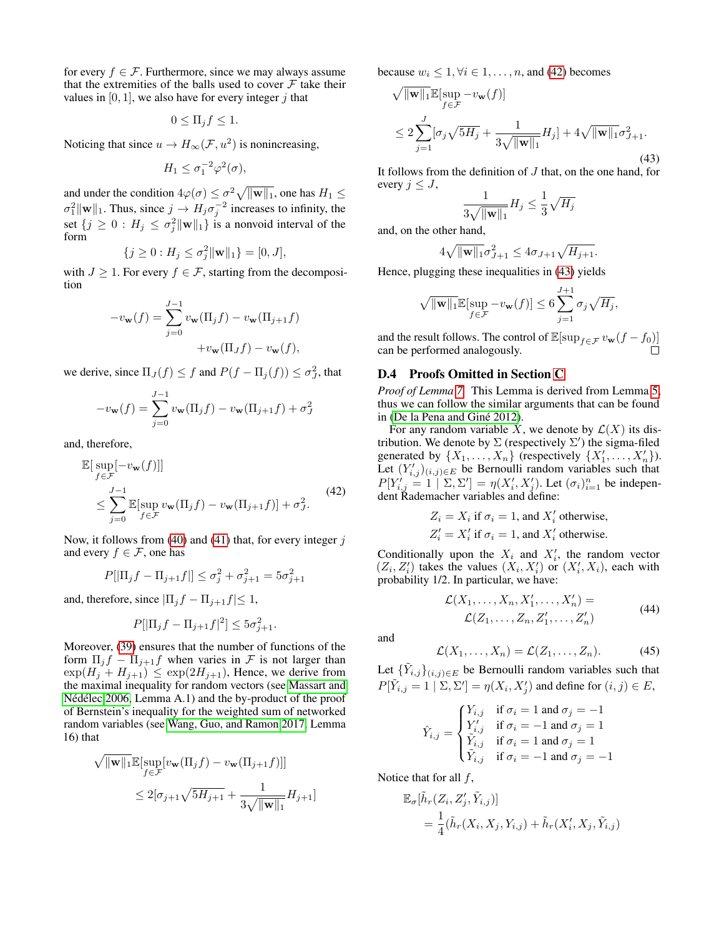for every  $f \in \mathcal{F}$ . Furthermore, since we may always assume that the extremities of the balls used to cover  $\mathcal F$  take their values in  $[0, 1]$ , we also have for every integer j that

$$
0 \le \Pi_j f \le 1.
$$

Noticing that since  $u \to H_{\infty}(\mathcal{F}, u^2)$  is nonincreasing,

$$
H_1 \le \sigma_1^{-2} \varphi^2(\sigma),
$$

and under the condition  $4\varphi(\sigma) \leq \sigma^2 \sqrt{\|\mathbf{w}\|_1}$ , one has  $H_1 \leq$  $\sigma_1^2 \|\mathbf{w}\|_1$ . Thus, since  $j \to H_j \sigma_j^{-2}$  increases to infinity, the set  $\{j \geq 0 : H_j \leq \sigma_j^2 \|\mathbf{w}\|_1\}$  is a nonvoid interval of the form

$$
\{j \ge 0 : H_j \le \sigma_j^2 \|\mathbf{w}\|_1\} = [0, J],
$$

with  $J \geq 1$ . For every  $f \in \mathcal{F}$ , starting from the decomposition

$$
-v_{\mathbf{w}}(f) = \sum_{j=0}^{J-1} v_{\mathbf{w}}(\Pi_j f) - v_{\mathbf{w}}(\Pi_{j+1} f)
$$

$$
+ v_{\mathbf{w}}(\Pi_J f) - v_{\mathbf{w}}(f),
$$

we derive, since  $\Pi_J(f) \leq f$  and  $P(f - \Pi_j(f)) \leq \sigma_J^2$ , that

$$
-v_{\mathbf{w}}(f) = \sum_{j=0}^{J-1} v_{\mathbf{w}}(\Pi_j f) - v_{\mathbf{w}}(\Pi_{j+1} f) + \sigma_J^2
$$

and, therefore,

<span id="page-15-0"></span>
$$
\mathbb{E}[\sup_{f \in \mathcal{F}} [-v_{\mathbf{w}}(f)]]
$$
\n
$$
\leq \sum_{j=0}^{J-1} \mathbb{E}[\sup_{f \in \mathcal{F}} v_{\mathbf{w}}(\Pi_j f) - v_{\mathbf{w}}(\Pi_{j+1} f)] + \sigma_j^2.
$$
\n(42)

Now, it follows from [\(40\)](#page-14-2) and [\(41\)](#page-14-3) that, for every integer  $j$ and every  $f \in \mathcal{F}$ , one has

$$
P[|\Pi_j f - \Pi_{j+1} f|] \le \sigma_j^2 + \sigma_{j+1}^2 = 5\sigma_{j+1}^2
$$

and, therefore, since  $|\Pi_j f - \Pi_{j+1} f| \leq 1$ ,

$$
P[|\Pi_j f - \Pi_{j+1} f|^2] \le 5\sigma_{j+1}^2.
$$

Moreover, [\(39\)](#page-14-4) ensures that the number of functions of the form  $\Pi_i f - \Pi_{i+1} f$  when varies in F is not larger than  $\exp(H_i + H_{i+1}) \leq \exp(2H_{i+1})$ , Hence, we derive from the maximal inequality for random vectors (see [Massart and](#page-7-18) Nédélec 2006, Lemma A.1) and the by-product of the proof of Bernstein's inequality for the weighted sum of networked random variables (see [Wang, Guo, and Ramon 2017,](#page-8-1) Lemma 16) that

$$
\sqrt{\|\mathbf{w}\|_1} \mathbb{E}[\sup_{f \in \mathcal{F}} [v_{\mathbf{w}}(\Pi_j f) - v_{\mathbf{w}}(\Pi_{j+1} f)]]
$$
  

$$
\leq 2[\sigma_{j+1} \sqrt{5H_{j+1}} + \frac{1}{3\sqrt{\|\mathbf{w}\|_1}} H_{j+1}]
$$

because  $w_i \leq 1, \forall i \in 1, \ldots, n$ , and [\(42\)](#page-15-0) becomes

<span id="page-15-1"></span>
$$
\sqrt{\|\mathbf{w}\|_{1}}\mathbb{E}[\sup_{f\in\mathcal{F}} -v_{\mathbf{w}}(f)]
$$
  
\n
$$
\leq 2\sum_{j=1}^{J} [\sigma_{j}\sqrt{5H_{j}} + \frac{1}{3\sqrt{\|\mathbf{w}\|_{1}}}H_{j}] + 4\sqrt{\|\mathbf{w}\|_{1}}\sigma_{J+1}^{2}.
$$
\n(43)

It follows from the definition of J that, on the one hand, for every  $j \leq J$ ,

$$
\frac{1}{3\sqrt{\|\mathbf{w}\|_1}}H_j \leq \frac{1}{3}\sqrt{H_j}
$$

and, on the other hand,

$$
4\sqrt{\|\mathbf{w}\|_1}\sigma_{J+1}^2 \le 4\sigma_{J+1}\sqrt{H_{J+1}}.
$$

Hence, plugging these inequalities in [\(43\)](#page-15-1) yields

$$
\sqrt{\|\mathbf{w}\|_1}\mathbb{E}[\sup_{f\in\mathcal{F}} -v_{\mathbf{w}}(f)] \leq 6\sum_{j=1}^{J+1}\sigma_j\sqrt{H_j},
$$

and the result follows. The control of  $\mathbb{E}[\sup_{f \in \mathcal{F}} v_{\mathbf{w}}(f - f_0)]$ can be performed analogously.

#### D.4 Proofs Omitted in Section [C](#page-10-0)

*Proof of Lemma [7.](#page-11-1)* This Lemma is derived from Lemma [5,](#page-10-2) thus we can follow the similar arguments that can be found in (De la Pena and Giné 2012).

For any random variable X, we denote by  $\mathcal{L}(X)$  its distribution. We denote by  $\Sigma$  (respectively  $\Sigma'$ ) the sigma-filed generated by  $\{X_1, \ldots, X_n\}$  (respectively  $\{X'_1, \ldots, X'_n\}$ ). Let  $(Y'_{i,j})_{(i,j)\in E}$  be Bernoulli random variables such that  $P[Y'_{i,j} = 1 \mid \Sigma, \Sigma'] = \eta(X'_i, X'_j)$ . Let  $(\sigma_i)_{i=1}^n$  be independent Rademacher variables and define:

$$
Z_i = X_i \text{ if } \sigma_i = 1 \text{, and } X'_i \text{ otherwise,}
$$
  

$$
Z'_i = X'_i \text{ if } \sigma_i = 1 \text{, and } X'_i \text{ otherwise.}
$$

Conditionally upon the  $X_i$  and  $X'_i$ , the random vector  $(Z_i, Z'_i)$  takes the values  $(X_i, X'_i)$  or  $(X'_i, X_i)$ , each with probability 1/2. In particular, we have:

<span id="page-15-2"></span>
$$
\mathcal{L}(X_1, \dots, X_n, X'_1, \dots, X'_n) =
$$
  

$$
\mathcal{L}(Z_1, \dots, Z_n, Z'_1, \dots, Z'_n)
$$
 (44)

and

<span id="page-15-3"></span>
$$
\mathcal{L}(X_1,\ldots,X_n)=\mathcal{L}(Z_1,\ldots,Z_n). \hspace{1cm} (45)
$$

Let  $\{\tilde{Y}_{i,j}\}_{(i,j)\in E}$  be Bernoulli random variables such that  $P[\tilde{Y}_{i,j} = 1 | \Sigma, \Sigma'] = \eta(X_i, X_j')$  and define for  $(i, j) \in E$ ,

$$
\hat{Y}_{i,j} = \begin{cases} Y_{i,j} & \text{if } \sigma_i = 1 \text{ and } \sigma_j = -1 \\ Y'_{i,j} & \text{if } \sigma_i = -1 \text{ and } \sigma_j = 1 \\ \tilde{Y}_{i,j} & \text{if } \sigma_i = 1 \text{ and } \sigma_j = 1 \\ \tilde{Y}_{i,j} & \text{if } \sigma_i = -1 \text{ and } \sigma_j = -1 \end{cases}
$$

Notice that for all  $f$ ,

$$
\mathbb{E}_{\sigma}[\tilde{h}_r(Z_i, Z'_j, \tilde{Y}_{i,j})]
$$
  
=  $\frac{1}{4}(\tilde{h}_r(X_i, X_j, Y_{i,j}) + \tilde{h}_r(X'_i, X_j, \tilde{Y}_{i,j})$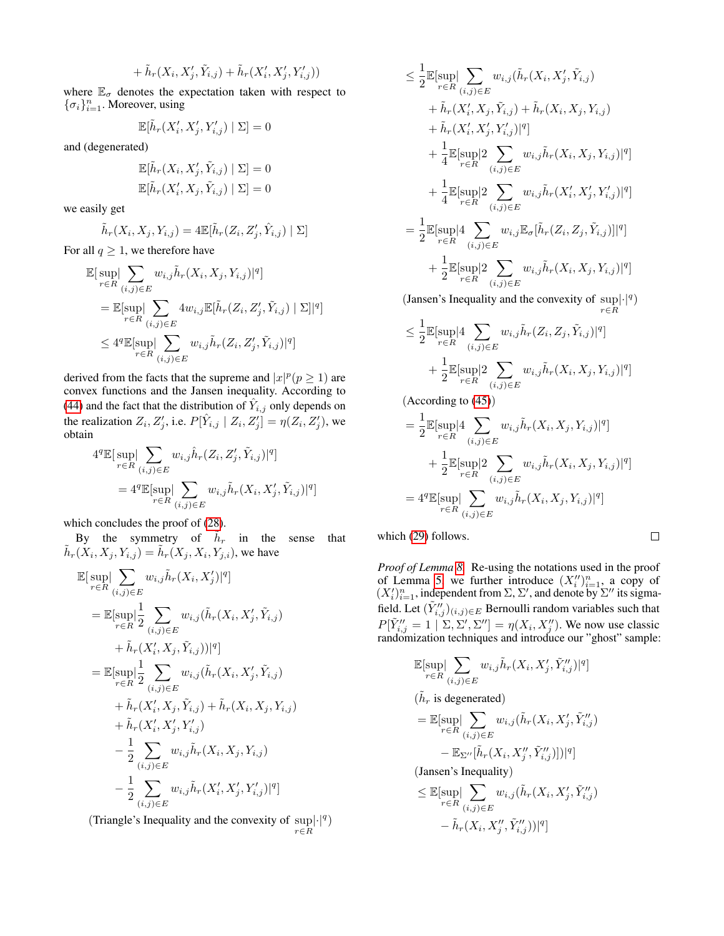$$
+\tilde{h}_r(X_i,X_j',\tilde{Y}_{i,j})+\tilde{h}_r(X_i',X_j',Y_{i,j}'))
$$

where  $\mathbb{E}_{\sigma}$  denotes the expectation taken with respect to  $\{\sigma_i\}_{i=1}^n$ . Moreover, using

$$
\mathbb{E}[\tilde{h}_r(X_i', X_j', Y_{i,j}') | \Sigma] = 0
$$

and (degenerated)

$$
\mathbb{E}[\tilde{h}_r(X_i, X'_j, \tilde{Y}_{i,j}) | \Sigma] = 0
$$
  

$$
\mathbb{E}[\tilde{h}_r(X'_i, X_j, \tilde{Y}_{i,j}) | \Sigma] = 0
$$

we easily get

$$
\tilde{h}_r(X_i, X_j, Y_{i,j}) = 4\mathbb{E}[\tilde{h}_r(Z_i, Z'_j, \hat{Y}_{i,j}) | \Sigma]
$$

For all  $q \geq 1$ , we therefore have

$$
\mathbb{E}[\sup_{r \in R} \sum_{(i,j) \in E} w_{i,j} \tilde{h}_r(X_i, X_j, Y_{i,j})|^q]
$$
\n
$$
= \mathbb{E}[\sup_{r \in R} \sum_{(i,j) \in E} 4w_{i,j} \mathbb{E}[\tilde{h}_r(Z_i, Z'_j, \tilde{Y}_{i,j}) | \Sigma]|^q]
$$
\n
$$
\leq 4^q \mathbb{E}[\sup_{r \in R} \sum_{(i,j) \in E} w_{i,j} \tilde{h}_r(Z_i, Z'_j, \tilde{Y}_{i,j})|^q]
$$

derived from the facts that the supreme and  $|x|^p (p \ge 1)$  are convex functions and the Jansen inequality. According to [\(44\)](#page-15-2) and the fact that the distribution of  $\hat{Y}_{i,j}$  only depends on the realization  $Z_i$ ,  $Z'_j$ , i.e.  $P[\hat{Y}_{i,j} | Z_i, Z'_j] = \eta(Z_i, Z'_j)$ , we obtain

$$
4q \mathbb{E}[ \sup_{r \in R} \Big| \sum_{(i,j) \in E} w_{i,j} \hat{h}_r(Z_i, Z'_j, \tilde{Y}_{i,j}) \Big|^{q} ]
$$
  
= 
$$
4q \mathbb{E}[ \sup_{r \in R} \Big| \sum_{(i,j) \in E} w_{i,j} \tilde{h}_r(X_i, X'_j, \tilde{Y}_{i,j}) \Big|^{q} ]
$$

which concludes the proof of [\(28\)](#page-11-5).

By the symmetry of  $\tilde{h}_r$  in the sense that  $\tilde{h}_r(X_i, X_j, Y_{i,j}) = \tilde{h}_r(X_j, X_i, Y_{j,i})$ , we have

$$
\mathbb{E}[\sup_{r \in R} \sum_{(i,j) \in E} w_{i,j} \tilde{h}_r(X_i, X'_j)|^q]
$$
\n
$$
= \mathbb{E}[\sup_{r \in R} \left| \frac{1}{2} \sum_{(i,j) \in E} w_{i,j}(\tilde{h}_r(X_i, X'_j, \tilde{Y}_{i,j}) + \tilde{h}_r(X'_i, X_i, X_j, \tilde{Y}_{i,j})) \right|^{q}]
$$
\n
$$
= \mathbb{E}[\sup_{r \in R} \left| \frac{1}{2} \sum_{(i,j) \in E} w_{i,j}(\tilde{h}_r(X_i, X'_j, \tilde{Y}_{i,j}) + \tilde{h}_r(X'_i, X_j, X'_i, \tilde{Y}_{i,j}) + \tilde{h}_r(X'_i, X_j, Y'_i, \tilde{Y}_{i,j}) + \tilde{h}_r(X'_i, X'_j, Y'_{i,j})\right]
$$
\n
$$
- \frac{1}{2} \sum_{(i,j) \in E} w_{i,j} \tilde{h}_r(X_i, X_j, Y_{i,j})
$$
\n
$$
- \frac{1}{2} \sum_{(i,j) \in E} w_{i,j} \tilde{h}_r(X'_i, X'_j, Y'_{i,j})|^{q}]
$$

(Triangle's Inequality and the convexity of  $\sup | \cdot |^q)$  $r{\in}R$ 

$$
\leq \frac{1}{2} \mathbb{E}[\sup_{r \in R} \Big| \sum_{(i,j) \in E} w_{i,j} (\tilde{h}_r(X_i, X'_j, \tilde{Y}_{i,j}) \n+ \tilde{h}_r(X'_i, X_j, \tilde{Y}_{i,j}) + \tilde{h}_r(X_i, X_j, Y_{i,j}) \n+ \tilde{h}_r(X'_i, X'_j, Y'_{i,j})|^q] \n+ \frac{1}{4} \mathbb{E}[\sup_{r \in R} \Big| 2 \sum_{(i,j) \in E} w_{i,j} \tilde{h}_r(X_i, X_j, Y_{i,j})|^q] \n+ \frac{1}{4} \mathbb{E}[\sup_{r \in R} \Big| 2 \sum_{(i,j) \in E} w_{i,j} \tilde{h}_r(X'_i, X'_j, Y'_{i,j})|^q] \n= \frac{1}{2} \mathbb{E}[\sup_{r \in R} \Big| 4 \sum_{(i,j) \in E} w_{i,j} \mathbb{E}_{\sigma}[\tilde{h}_r(Z_i, Z_j, \tilde{Y}_{i,j})]^q] \n+ \frac{1}{2} \mathbb{E}[\sup_{r \in R} \Big| 2 \sum_{(i,j) \in E} w_{i,j} \tilde{h}_r(X_i, X_j, Y_{i,j})|^q] \n+ \frac{1}{2} \mathbb{E}[\sup_{r \in R} \Big| 2 \sum_{(i,j) \in E} w_{i,j} \tilde{h}_r(X_i, X_j, Y_{i,j})|^q] \n+ \frac{1}{2} \mathbb{E}[\sup_{r \in R} \Big| 2 \sum_{(i,j) \in E} w_{i,j} \tilde{h}_r(X_i, X_j, Y_{i,j})|^q] \n+ \frac{1}{2} \mathbb{E}[\sup_{r \in R} \Big| 2 \sum_{(i,j) \in E} w_{i,j} \tilde{h}_r(X_i, X_j, Y_{i,j})|^q] \n+ \frac{1}{2} \mathbb{E}[\sup_{r \in R} \Big| 2 \sum_{(i,j) \in E} w_{i,j} \tilde{h}_r(X_i, X_j, Y_{i,j})|^q] \n+ \frac{1}{2} \mathbb{E}[\sup_{r \in R} \Big| 2 \sum_{(i,j) \in E} w_{i,j} \tilde{h}_r(X_i, X
$$

(Jansen's Inequality and the convexity of  $\sup | \cdot |^q$ ) r∈R

$$
\leq \frac{1}{2} \mathbb{E}[\sup_{r \in R} |4 \sum_{(i,j) \in E} w_{i,j} \tilde{h}_r(Z_i, Z_j, \tilde{Y}_{i,j})|^q] + \frac{1}{2} \mathbb{E}[\sup_{r \in R} |2 \sum_{(i,j) \in E} w_{i,j} \tilde{h}_r(X_i, X_j, Y_{i,j})|^q]
$$

(According to [\(45\)](#page-15-3))

$$
= \frac{1}{2} \mathbb{E}[\sup_{r \in R} \left| 4 \sum_{(i,j) \in E} w_{i,j} \tilde{h}_r(X_i, X_j, Y_{i,j}) \right|^q]
$$
  
+ 
$$
\frac{1}{2} \mathbb{E}[\sup_{r \in R} \left| 2 \sum_{(i,j) \in E} w_{i,j} \tilde{h}_r(X_i, X_j, Y_{i,j}) \right|^q]
$$
  
= 
$$
4^q \mathbb{E}[\sup_{r \in R} \left| \sum_{(i,j) \in E} w_{i,j} \tilde{h}_r(X_i, X_j, Y_{i,j}) \right|^q]
$$

which [\(29\)](#page-11-6) follows.

 $\Box$ 

*Proof of Lemma [8.](#page-11-2)* Re-using the notations used in the proof of Lemma [5,](#page-10-2) we further introduce  $(X_i'')_{i=1}^n$ , a copy of  $(X_i')_{i=1}^n$ , independent from  $\Sigma$ ,  $\Sigma'$ , and denote by  $\Sigma''$  its sigmafield. Let  $(\tilde{Y}''_{i,j})_{(i,j)\in E}$  Bernoulli random variables such that  $P[\tilde{Y}''_{i,j} = 1 | \Sigma, \Sigma', \Sigma''] = \eta(X_i, X_j'')$ . We now use classic randomization techniques and introduce our "ghost" sample:

$$
\mathbb{E}[\sup_{r \in R} \Big| \sum_{(i,j) \in E} w_{i,j} \tilde{h}_r(X_i, X'_j, \tilde{Y''}_{i,j}) \Big|^q]
$$
  
( $\tilde{h}_r$  is degenerated)

$$
= \mathbb{E}[\sup_{r \in R} |\sum_{(i,j) \in E} w_{i,j}(\tilde{h}_r(X_i, X'_j, \tilde{Y}''_{i,j})
$$

$$
- \mathbb{E}_{\Sigma''}[\tilde{h}_r(X_i, X''_j, \tilde{Y}''_{i,j})])|^q]
$$

(Jansen's Inequality)

$$
\leq \mathbb{E}[\sup_{r \in R} |\sum_{(i,j) \in E} w_{i,j}(\tilde{h}_r(X_i, X'_j, \tilde{Y}''_{i,j}) - \tilde{h}_r(X_i, X''_j, \tilde{Y}''_{i,j}))|^q]
$$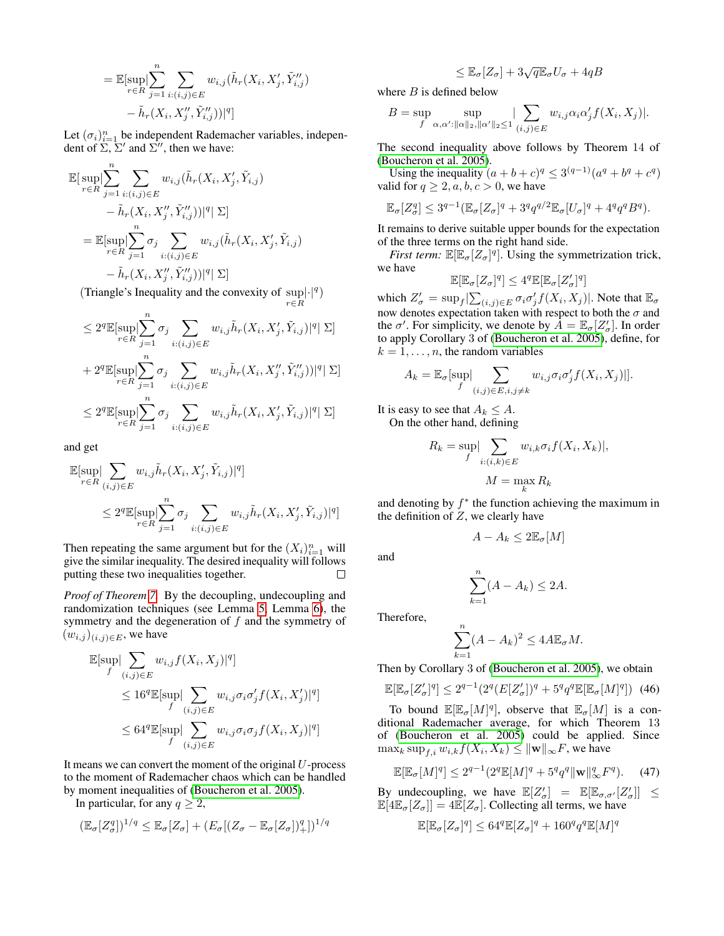$$
= \mathbb{E}[\sup_{r \in R} \Big| \sum_{j=1}^{n} \sum_{i:(i,j) \in E} w_{i,j}(\tilde{h}_r(X_i, X'_j, \tilde{Y}''_{i,j})) - \tilde{h}_r(X_i, X''_j, \tilde{Y}''_{i,j}))|^q]
$$

Let  $(\sigma_i)_{i=1}^n$  be independent Rademacher variables, independent of  $\Sigma$ ,  $\Sigma'$  and  $\Sigma''$ , then we have:

$$
\mathbb{E}[\sup_{r \in R} \Big| \sum_{j=1}^{n} \sum_{i:(i,j) \in E} w_{i,j}(\tilde{h}_r(X_i, X'_j, \tilde{Y}_{i,j}) - \tilde{h}_r(X_i, X''_j, \tilde{Y}''_{i,j}))|^q \Big| \Sigma]
$$
  

$$
= \mathbb{E}[\sup_{r \in R} \Big| \sum_{j=1}^{n} \sigma_j \sum_{i:(i,j) \in E} w_{i,j}(\tilde{h}_r(X_i, X'_j, \tilde{Y}_{i,j})) - \tilde{h}_r(X_i, X''_j, \tilde{Y}''_{i,j}))|^q \Big| \Sigma]
$$

 $\overline{v}$ 

(Triangle's Inequality and the convexity of  $\sup | \cdot |^q)$  $r \in R$ 

$$
\leq 2^q \mathbb{E}[\sup_{r \in R} \Bigl| \sum_{j=1}^n \sigma_j \sum_{i:(i,j) \in E} w_{i,j} \tilde{h}_r(X_i, X'_j, \tilde{Y}_{i,j})|^q \Bigr| \Sigma] + 2^q \mathbb{E}[\sup_{r \in R} \Bigl| \sum_{j=1}^n \sigma_j \sum_{i:(i,j) \in E} w_{i,j} \tilde{h}_r(X_i, X''_j, \tilde{Y}''_{i,j})|^q \Bigr| \Sigma] \leq 2^q \mathbb{E}[\sup_{r \in R} \Bigl| \sum_{j=1}^n \sigma_j \sum_{i:(i,j) \in E} w_{i,j} \tilde{h}_r(X_i, X'_j, \tilde{Y}_{i,j})|^q \Bigr| \Sigma]
$$

and get

$$
\mathbb{E}[\sup_{r \in R} \left| \sum_{(i,j) \in E} w_{i,j} \tilde{h}_r(X_i, X'_j, \tilde{Y}_{i,j}) \right|^q]
$$
  

$$
\leq 2^q \mathbb{E}[\sup_{r \in R} \left| \sum_{j=1}^n \sigma_j \sum_{i:(i,j) \in E} w_{i,j} \tilde{h}_r(X_i, X'_j, \tilde{Y}_{i,j}) \right|^q]
$$

Then repeating the same argument but for the  $(X_i)_{i=1}^n$  will give the similar inequality. The desired inequality will follows putting these two inequalities together.  $\Box$ 

*Proof of Theorem [7.](#page-11-3)* By the decoupling, undecoupling and randomization techniques (see Lemma [5,](#page-10-2) Lemma [6\)](#page-10-3), the symmetry and the degeneration of  $f$  and the symmetry of  $(w_{i,j})_{(i,j)\in E}$ , we have

$$
\mathbb{E}[\sup_{f} \left| \sum_{(i,j) \in E} w_{i,j} f(X_i, X_j) \right|^q]
$$
\n
$$
\leq 16^q \mathbb{E}[\sup_{f} \left| \sum_{(i,j) \in E} w_{i,j} \sigma_i \sigma'_j f(X_i, X'_j) \right|^q]
$$
\n
$$
\leq 64^q \mathbb{E}[\sup_{f} \left| \sum_{(i,j) \in E} w_{i,j} \sigma_i \sigma_j f(X_i, X_j) \right|^q]
$$

It means we can convert the moment of the original  $U$ -process to the moment of Rademacher chaos which can be handled by moment inequalities of [\(Boucheron et al. 2005\)](#page-7-23).

In particular, for any  $q \geq 2$ ,

$$
(\mathbb{E}_{\sigma}[Z^q_{\sigma}])^{1/q} \leq \mathbb{E}_{\sigma}[Z_{\sigma}] + (E_{\sigma}[(Z_{\sigma} - \mathbb{E}_{\sigma}[Z_{\sigma}])^q_+])^{1/q}
$$

$$
\leq \mathbb{E}_{\sigma}[Z_{\sigma}] + 3\sqrt{q} \mathbb{E}_{\sigma} U_{\sigma} + 4qB
$$

where  $B$  is defined below

$$
B = \sup_{f} \sup_{\alpha,\alpha': ||\alpha||_2, ||\alpha'||_2 \leq 1} |\sum_{(i,j) \in E} w_{i,j} \alpha_i \alpha'_j f(X_i, X_j)|.
$$

The second inequality above follows by Theorem 14 of [\(Boucheron et al. 2005\)](#page-7-23).

Using the inequality  $(a+b+c)^q \leq 3^{(q-1)}(a^q + b^q + c^q)$ valid for  $q \ge 2, a, b, c > 0$ , we have

$$
\mathbb{E}_{\sigma}[Z_{\sigma}^q] \leq 3^{q-1} \left( \mathbb{E}_{\sigma}[Z_{\sigma}]^q + 3^q q^{q/2} \mathbb{E}_{\sigma}[U_{\sigma}]^q + 4^q q^q B^q \right).
$$

It remains to derive suitable upper bounds for the expectation of the three terms on the right hand side.

*First term:*  $\mathbb{E}[\mathbb{E}_{\sigma}[Z_{\sigma}]^q]$ . Using the symmetrization trick, we have

$$
\mathbb{E}[\mathbb{E}_{\sigma}[Z_{\sigma}]^q] \leq 4^q \mathbb{E}[\mathbb{E}_{\sigma}[Z_{\sigma}']^q]
$$

which  $Z_{\sigma}' = \sup_f \big| \sum_{(i,j) \in E} \sigma_i \sigma_j' f(X_i, X_j) \big|$ . Note that  $\mathbb{E}_{\sigma}$ now denotes expectation taken with respect to both the  $\sigma$  and the  $\sigma'$ . For simplicity, we denote by  $\vec{A} = \mathbb{E}_{\sigma}[Z_{\sigma}']$ . In order to apply Corollary 3 of [\(Boucheron et al.](#page-7-23) 2005), define, for  $k = 1, \ldots, n$ , the random variables

$$
A_k = \mathbb{E}_{\sigma}[\sup_f |\sum_{(i,j)\in E, i,j\neq k} w_{i,j} \sigma_i \sigma'_j f(X_i, X_j)|].
$$

It is easy to see that  $A_k \leq A$ . On the other hand, defining

$$
R_k = \sup_f \sum_{i:(i,k)\in E} w_{i,k} \sigma_i f(X_i, X_k)|,
$$
  

$$
M = \max_k R_k
$$

and denoting by  $f^*$  the function achieving the maximum in the definition of  $Z$ , we clearly have

$$
A - A_k \leq 2\mathbb{E}_{\sigma}[M]
$$

and

$$
\sum_{k=1}^{n} (A - A_k) \le 2A.
$$

Therefore,

$$
\sum_{k=1}^{n} (A - A_k)^2 \le 4A \mathbb{E}_{\sigma} M.
$$

Then by Corollary 3 of [\(Boucheron et al. 2005\)](#page-7-23), we obtain

<span id="page-17-0"></span>
$$
\mathbb{E}[\mathbb{E}_{\sigma}[Z_{\sigma}']^{q}] \leq 2^{q-1} (2^{q} (E[Z_{\sigma}'])^{q} + 5^{q} q^{q} \mathbb{E}[\mathbb{E}_{\sigma}[M]^{q}]) \tag{46}
$$

To bound  $\mathbb{E}[\mathbb{E}_{\sigma}[M]^{q}]$ , observe that  $\mathbb{E}_{\sigma}[M]$  is a conditional Rademacher average, for which Theorem 13 of [\(Boucheron et al.](#page-7-23) 2005) could be applied. Since  $\max_k \sup_{f,i} w_{i,k} f(X_i,X_k) \leq \|\mathbf{w}\|_\infty F,$  we have

<span id="page-17-1"></span>
$$
\mathbb{E}[\mathbb{E}_{\sigma}[M]^q] \le 2^{q-1} (2^q \mathbb{E}[M]^q + 5^q q^q \|\mathbf{w}\|_{\infty}^q F^q). \tag{47}
$$

By undecoupling, we have  $\mathbb{E}[Z_{\sigma}] = \mathbb{E}[\mathbb{E}_{\sigma,\sigma'}[Z_{\sigma}']] \leq$  $\mathbb{E}[4\mathbb{E}_{\sigma}[Z_{\sigma}]] = 4\mathbb{E}[Z_{\sigma}].$  Collecting all terms, we have

$$
\mathbb{E}[\mathbb{E}_{\sigma}[Z_{\sigma}]^q] \leq 64^q \mathbb{E}[Z_{\sigma}]^q + 160^q q^q \mathbb{E}[M]^q
$$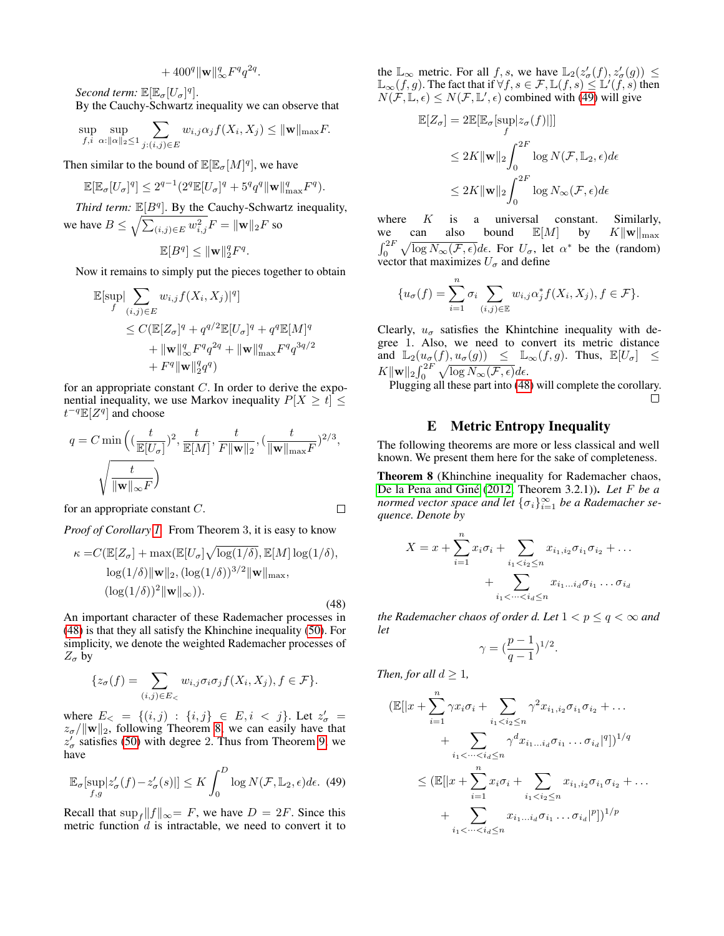$$
+ 400^q \|\mathbf{w}\|_{\infty}^q F^q q^{2q}.
$$

*Second term:*  $\mathbb{E}[\mathbb{E}_{\sigma}[U_{\sigma}]^q]$ .

By the Cauchy-Schwartz inequality we can observe that

$$
\sup_{f,i} \sup_{\alpha: ||\alpha||_2 \le 1} \sum_{j:(i,j) \in E} w_{i,j} \alpha_j f(X_i, X_j) \le ||\mathbf{w}||_{\max} F.
$$

Then similar to the bound of  $\mathbb{E}[\mathbb{E}_{\sigma}[M]^q]$ , we have

$$
\mathbb{E}[\mathbb{E}_{\sigma}[U_{\sigma}]^q] \le 2^{q-1} (2^q \mathbb{E}[U_{\sigma}]^q + 5^q q^q \|\mathbf{w}\|_{\max}^q F^q).
$$

*Third term:*  $\mathbb{E}[B^q]$ . By the Cauchy-Schwartz inequality, we have  $B \leq \sqrt{\sum_{(i,j)\in E} w_{i,j}^2}F = \|\mathbf{w}\|_2 F$  so

$$
\mathbb{E}[B^q] \le ||\mathbf{w}||_2^q F^q.
$$

Now it remains to simply put the pieces together to obtain

$$
\mathbb{E}[\sup_{f} \left| \sum_{(i,j) \in E} w_{i,j} f(X_i, X_j) \right|^q]
$$
\n
$$
\leq C (\mathbb{E}[Z_{\sigma}]^q + q^{q/2} \mathbb{E}[U_{\sigma}]^q + q^q \mathbb{E}[M]^q
$$
\n
$$
+ \| \mathbf{w} \|_{\infty}^q F^q q^{2q} + \| \mathbf{w} \|_{\max}^q F^q q^{3q/2}
$$
\n
$$
+ F^q \| \mathbf{w} \|_2^q q^q)
$$

for an appropriate constant  $C$ . In order to derive the exponential inequality, we use Markov inequality  $P[X \ge t] \le$  $t^{-q} \mathbb{E}[Z^q]$  and choose

$$
q = C \min\left( (\frac{t}{\mathbb{E}[U_{\sigma}]})^2, \frac{t}{\mathbb{E}[M]}, \frac{t}{F \|\mathbf{w}\|_2}, (\frac{t}{\|\mathbf{w}\|_{\max} F})^{2/3}, \frac{t}{\|\mathbf{w}\|_{\max} F} \right)
$$

for an appropriate constant C.

*Proof of Corollary [1.](#page-11-4)* From Theorem 3, it is easy to know

<span id="page-18-1"></span>
$$
\kappa = C(\mathbb{E}[Z_{\sigma}] + \max(\mathbb{E}[U_{\sigma}]\sqrt{\log(1/\delta)}, \mathbb{E}[M]\log(1/\delta),
$$
  
\n
$$
\log(1/\delta) \|\mathbf{w}\|_2, (\log(1/\delta))^{3/2} \|\mathbf{w}\|_{\max},
$$
  
\n
$$
(\log(1/\delta))^2 \|\mathbf{w}\|_{\infty}).
$$
\n(48)

An important character of these Rademacher processes in [\(48\)](#page-18-1) is that they all satisfy the Khinchine inequality [\(50\)](#page-19-0). For simplicity, we denote the weighted Rademacher processes of  $Z_{\sigma}$  by

$$
\{z_{\sigma}(f) = \sum_{(i,j) \in E_{<}} w_{i,j} \sigma_i \sigma_j f(X_i, X_j), f \in \mathcal{F}\}.
$$

where  $E_ < = \{ (i, j) : \{ i, j \} \in E, i < j \}.$  Let  $z'_\sigma =$  $z_{\sigma}/\|\mathbf{w}\|_2$ , following Theorem [8,](#page-18-2) we can easily have that  $z'_\text{o}$  satisfies [\(50\)](#page-19-0) with degree 2. Thus from Theorem [9,](#page-19-1) we have

<span id="page-18-3"></span>
$$
\mathbb{E}_{\sigma}[\sup_{f,g}|z'_{\sigma}(f)-z'_{\sigma}(s)|] \leq K \int_0^D \log N(\mathcal{F}, \mathbb{L}_2, \epsilon) d\epsilon. \tag{49}
$$

Recall that  $\sup_{f} ||f||_{\infty} = F$ , we have  $D = 2F$ . Since this metric function  $d$  is intractable, we need to convert it to

the  $\mathbb{L}_{\infty}$  metric. For all f, s, we have  $\mathbb{L}_{2}(z_{\sigma}(f), z_{\sigma}'(g)) \leq$  $\mathbb{L}_{\infty}(f,g)$ . The fact that if  $\forall f, s \in \mathcal{F}, \mathbb{L}(f,s) \leq \mathbb{L}'(f,s)$  then  $N(\mathcal{F}, \mathbb{L}, \epsilon) \leq N(\mathcal{F}, \mathbb{L}', \epsilon)$  combined with [\(49\)](#page-18-3) will give

$$
\mathbb{E}[Z_{\sigma}] = 2\mathbb{E}[\mathbb{E}_{\sigma}[\sup_{f} |z_{\sigma}(f)|]]
$$
  
\n
$$
\leq 2K \|\mathbf{w}\|_2 \int_0^{2F} \log N(\mathcal{F}, \mathbb{L}_2, \epsilon) d\epsilon
$$
  
\n
$$
\leq 2K \|\mathbf{w}\|_2 \int_0^{2F} \log N_{\infty}(\mathcal{F}, \epsilon) d\epsilon
$$

where K is a universal constant. Similarly,<br>we can also bound  $\mathbb{E}[M]$  by  $K \|\mathbf{w}\|_{\text{max}}$ we can also bound  $\mathbb{E}[M]$  by  $K\|\mathbf{w}\|_{\text{max}}$  $\int_0^{2F} \sqrt{\log N_{\infty}(\mathcal{F}, \epsilon)} d\epsilon$ . For  $U_{\sigma}$ , let  $\alpha^*$  be the (random) vector that maximizes  $U_\sigma$  and define

$$
\{u_{\sigma}(f) = \sum_{i=1}^{n} \sigma_i \sum_{(i,j) \in \mathbb{E}} w_{i,j} \alpha_j^* f(X_i, X_j), f \in \mathcal{F}\}.
$$

Clearly,  $u_{\sigma}$  satisfies the Khintchine inequality with degree 1. Also, we need to convert its metric distance and  $\mathbb{L}_2(u_\sigma(f), u_\sigma(g)) \leq \mathbb{L}_\infty(f, g)$ . Thus,  $\mathbb{E}[U_\sigma] \leq$  $K\|\mathbf{w}\|_2\int_0^{2F} \sqrt{\log N_\infty(\mathcal{F},\epsilon)}d\epsilon.$ 

Plugging all these part into [\(48\)](#page-18-1) will complete the corollary.  $\Box$ 

#### E Metric Entropy Inequality

<span id="page-18-0"></span>The following theorems are more or less classical and well known. We present them here for the sake of completeness.

<span id="page-18-2"></span>Theorem 8 (Khinchine inequality for Rademacher chaos, De la Pena and Giné [\(2012,](#page-7-29) Theorem 3.2.1)). *Let F be a normed vector space and let*  $\{\sigma_i\}_{i=1}^{\infty}$  *be a Rademacher sequence. Denote by*

$$
X = x + \sum_{i=1}^{n} x_i \sigma_i + \sum_{i_1 < i_2 \le n} x_{i_1, i_2} \sigma_{i_1} \sigma_{i_2} + \dots + \sum_{i_1 < \dots < i_d \le n} x_{i_1 \dots i_d} \sigma_{i_1} \dots \sigma_{i_d}
$$

*the Rademacher chaos of order d. Let*  $1 < p \le q < \infty$  *and let*

$$
\gamma=(\frac{p-1}{q-1})^{1/2}.
$$

*Then, for all*  $d \geq 1$ *,* 

 $\Box$ 

$$
(\mathbb{E}[|x + \sum_{i=1}^{n} \gamma x_i \sigma_i + \sum_{i_1 < i_2 \le n} \gamma^2 x_{i_1, i_2} \sigma_{i_1} \sigma_{i_2} + \dots
$$
\n
$$
+ \sum_{i_1 < \dots < i_d \le n} \gamma^d x_{i_1 \dots i_d} \sigma_{i_1} \dots \sigma_{i_d} |q|)^{1/q}
$$
\n
$$
\le (\mathbb{E}[|x + \sum_{i=1}^{n} x_i \sigma_i + \sum_{i_1 < i_2 \le n} x_{i_1, i_2} \sigma_{i_1} \sigma_{i_2} + \dots
$$
\n
$$
+ \sum_{i_1 < \dots < i_d \le n} x_{i_1 \dots i_d} \sigma_{i_1} \dots \sigma_{i_d} |p|)^{1/p}
$$